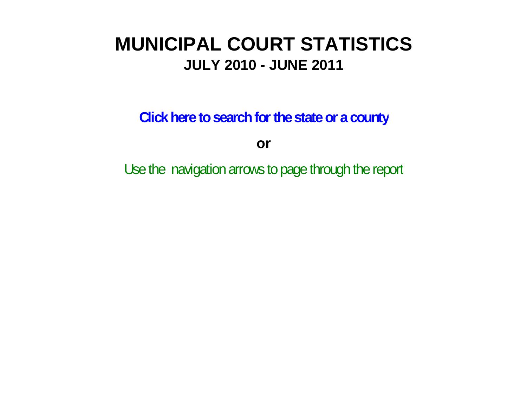# **MUNICIPAL COURT STATISTICSJULY 2010 - JUNE 2011**

**Click here to search for the state or a count y**

**or**

Use the navigation arrows to page through the repor t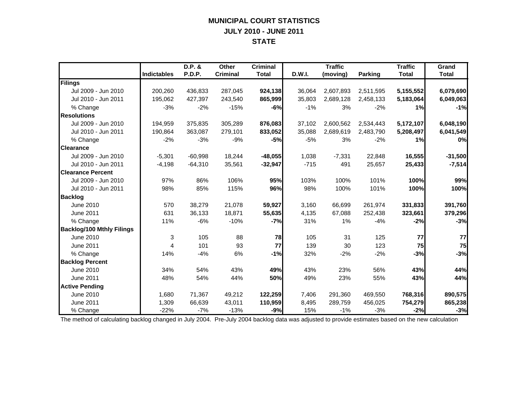## **MUNICIPAL COURT STATISTICS JULY 2010 - JUNE 2011 STATE**

|                                  |                    | D.P. &        | <b>Other</b>    | <b>Criminal</b> |        | <b>Traffic</b> |                | <b>Traffic</b> | Grand        |
|----------------------------------|--------------------|---------------|-----------------|-----------------|--------|----------------|----------------|----------------|--------------|
|                                  | <b>Indictables</b> | <b>P.D.P.</b> | <b>Criminal</b> | <b>Total</b>    | D.W.I. | (moving)       | <b>Parking</b> | <b>Total</b>   | <b>Total</b> |
| Filings                          |                    |               |                 |                 |        |                |                |                |              |
| Jul 2009 - Jun 2010              | 200,260            | 436,833       | 287,045         | 924,138         | 36,064 | 2,607,893      | 2,511,595      | 5,155,552      | 6,079,690    |
| Jul 2010 - Jun 2011              | 195,062            | 427,397       | 243,540         | 865,999         | 35,803 | 2,689,128      | 2,458,133      | 5,183,064      | 6,049,063    |
| % Change                         | $-3%$              | $-2%$         | $-15%$          | $-6%$           | $-1%$  | 3%             | $-2%$          | 1%             | $-1%$        |
| <b>Resolutions</b>               |                    |               |                 |                 |        |                |                |                |              |
| Jul 2009 - Jun 2010              | 194,959            | 375,835       | 305,289         | 876,083         | 37,102 | 2,600,562      | 2,534,443      | 5,172,107      | 6,048,190    |
| Jul 2010 - Jun 2011              | 190,864            | 363,087       | 279,101         | 833,052         | 35,088 | 2,689,619      | 2,483,790      | 5,208,497      | 6,041,549    |
| % Change                         | $-2%$              | $-3%$         | $-9%$           | $-5%$           | $-5%$  | 3%             | $-2%$          | 1%             | 0%           |
| <b>Clearance</b>                 |                    |               |                 |                 |        |                |                |                |              |
| Jul 2009 - Jun 2010              | $-5,301$           | $-60,998$     | 18,244          | $-48,055$       | 1,038  | $-7,331$       | 22,848         | 16,555         | $-31,500$    |
| Jul 2010 - Jun 2011              | $-4,198$           | $-64,310$     | 35,561          | $-32,947$       | $-715$ | 491            | 25,657         | 25,433         | $-7,514$     |
| <b>Clearance Percent</b>         |                    |               |                 |                 |        |                |                |                |              |
| Jul 2009 - Jun 2010              | 97%                | 86%           | 106%            | 95%             | 103%   | 100%           | 101%           | 100%           | 99%          |
| Jul 2010 - Jun 2011              | 98%                | 85%           | 115%            | 96%             | 98%    | 100%           | 101%           | 100%           | 100%         |
| <b>Backlog</b>                   |                    |               |                 |                 |        |                |                |                |              |
| June 2010                        | 570                | 38,279        | 21,078          | 59,927          | 3,160  | 66,699         | 261,974        | 331,833        | 391,760      |
| June 2011                        | 631                | 36,133        | 18,871          | 55,635          | 4,135  | 67,088         | 252,438        | 323,661        | 379,296      |
| % Change                         | 11%                | $-6%$         | $-10%$          | $-7%$           | 31%    | 1%             | $-4%$          | $-2%$          | $-3%$        |
| <b>Backlog/100 Mthly Filings</b> |                    |               |                 |                 |        |                |                |                |              |
| June 2010                        | 3                  | 105           | 88              | 78              | 105    | 31             | 125            | 77             | 77           |
| <b>June 2011</b>                 | 4                  | 101           | 93              | 77              | 139    | 30             | 123            | 75             | 75           |
| % Change                         | 14%                | $-4%$         | 6%              | $-1%$           | 32%    | $-2%$          | $-2%$          | $-3%$          | $-3%$        |
| <b>Backlog Percent</b>           |                    |               |                 |                 |        |                |                |                |              |
| June 2010                        | 34%                | 54%           | 43%             | 49%             | 43%    | 23%            | 56%            | 43%            | 44%          |
| <b>June 2011</b>                 | 48%                | 54%           | 44%             | 50%             | 49%    | 23%            | 55%            | 43%            | 44%          |
| <b>Active Pending</b>            |                    |               |                 |                 |        |                |                |                |              |
| June 2010                        | 1,680              | 71,367        | 49,212          | 122,259         | 7,406  | 291,360        | 469,550        | 768,316        | 890,575      |
| June 2011                        | 1,309              | 66,639        | 43,011          | 110,959         | 8,495  | 289,759        | 456,025        | 754,279        | 865,238      |
| % Change                         | $-22%$             | $-7%$         | $-13%$          | $-9%$           | 15%    | $-1%$          | $-3%$          | $-2%$          | $-3%$        |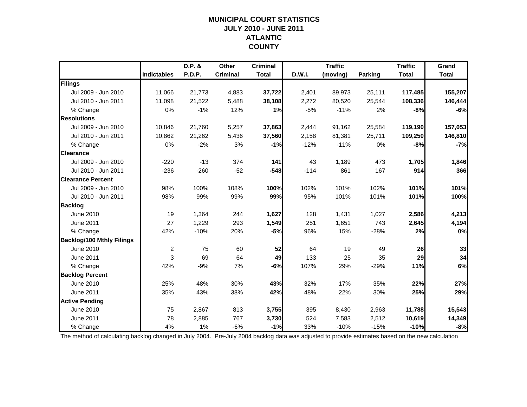### **MUNICIPAL COURT STATISTICSJULY 2010 - JUNE 2011 ATLANTIC COUNTY**

|                                  |                    | D.P. & | Other           | <b>Criminal</b> |               | <b>Traffic</b> |                | <b>Traffic</b> | Grand        |
|----------------------------------|--------------------|--------|-----------------|-----------------|---------------|----------------|----------------|----------------|--------------|
|                                  | <b>Indictables</b> | P.D.P. | <b>Criminal</b> | <b>Total</b>    | <b>D.W.I.</b> | (moving)       | <b>Parking</b> | <b>Total</b>   | <b>Total</b> |
| Filings                          |                    |        |                 |                 |               |                |                |                |              |
| Jul 2009 - Jun 2010              | 11,066             | 21,773 | 4,883           | 37,722          | 2,401         | 89,973         | 25,111         | 117,485        | 155,207      |
| Jul 2010 - Jun 2011              | 11,098             | 21,522 | 5,488           | 38,108          | 2,272         | 80,520         | 25,544         | 108,336        | 146,444      |
| % Change                         | 0%                 | $-1%$  | 12%             | 1%              | $-5%$         | $-11%$         | 2%             | $-8%$          | $-6%$        |
| <b>Resolutions</b>               |                    |        |                 |                 |               |                |                |                |              |
| Jul 2009 - Jun 2010              | 10,846             | 21,760 | 5,257           | 37,863          | 2,444         | 91,162         | 25,584         | 119,190        | 157,053      |
| Jul 2010 - Jun 2011              | 10,862             | 21,262 | 5,436           | 37,560          | 2,158         | 81,381         | 25,711         | 109,250        | 146,810      |
| % Change                         | 0%                 | $-2%$  | 3%              | $-1%$           | $-12%$        | $-11%$         | 0%             | $-8%$          | $-7%$        |
| <b>Clearance</b>                 |                    |        |                 |                 |               |                |                |                |              |
| Jul 2009 - Jun 2010              | $-220$             | $-13$  | 374             | 141             | 43            | 1,189          | 473            | 1,705          | 1,846        |
| Jul 2010 - Jun 2011              | $-236$             | $-260$ | $-52$           | $-548$          | $-114$        | 861            | 167            | 914            | 366          |
| <b>Clearance Percent</b>         |                    |        |                 |                 |               |                |                |                |              |
| Jul 2009 - Jun 2010              | 98%                | 100%   | 108%            | 100%            | 102%          | 101%           | 102%           | 101%           | 101%         |
| Jul 2010 - Jun 2011              | 98%                | 99%    | 99%             | 99%             | 95%           | 101%           | 101%           | 101%           | 100%         |
| <b>Backlog</b>                   |                    |        |                 |                 |               |                |                |                |              |
| June 2010                        | 19                 | 1,364  | 244             | 1,627           | 128           | 1,431          | 1,027          | 2,586          | 4,213        |
| June 2011                        | 27                 | 1,229  | 293             | 1,549           | 251           | 1,651          | 743            | 2,645          | 4,194        |
| % Change                         | 42%                | $-10%$ | 20%             | $-5%$           | 96%           | 15%            | $-28%$         | 2%             | 0%           |
| <b>Backlog/100 Mthly Filings</b> |                    |        |                 |                 |               |                |                |                |              |
| June 2010                        | $\overline{c}$     | 75     | 60              | 52              | 64            | 19             | 49             | 26             | 33           |
| June 2011                        | 3                  | 69     | 64              | 49              | 133           | 25             | 35             | 29             | 34           |
| % Change                         | 42%                | $-9%$  | 7%              | $-6%$           | 107%          | 29%            | $-29%$         | 11%            | 6%           |
| <b>Backlog Percent</b>           |                    |        |                 |                 |               |                |                |                |              |
| <b>June 2010</b>                 | 25%                | 48%    | 30%             | 43%             | 32%           | 17%            | 35%            | 22%            | 27%          |
| June 2011                        | 35%                | 43%    | 38%             | 42%             | 48%           | 22%            | 30%            | 25%            | 29%          |
| <b>Active Pending</b>            |                    |        |                 |                 |               |                |                |                |              |
| June 2010                        | 75                 | 2,867  | 813             | 3,755           | 395           | 8,430          | 2,963          | 11,788         | 15,543       |
| <b>June 2011</b>                 | 78                 | 2,885  | 767             | 3,730           | 524           | 7,583          | 2,512          | 10,619         | 14,349       |
| % Change                         | 4%                 | 1%     | $-6%$           | $-1%$           | 33%           | $-10%$         | $-15%$         | $-10%$         | $-8%$        |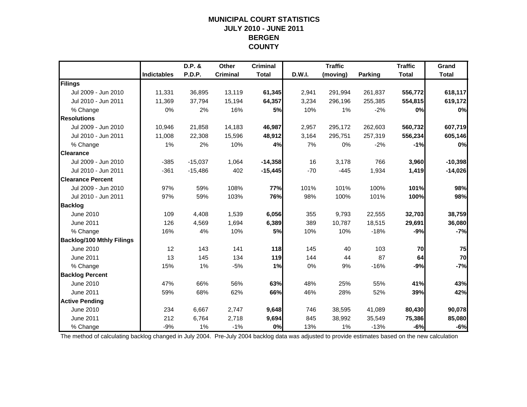### **MUNICIPAL COURT STATISTICSJULY 2010 - JUNE 2011 BERGEN COUNTY**

|                                  |                    | D.P. &    | Other           | <b>Criminal</b> |        | <b>Traffic</b> |                | <b>Traffic</b> | Grand        |
|----------------------------------|--------------------|-----------|-----------------|-----------------|--------|----------------|----------------|----------------|--------------|
|                                  | <b>Indictables</b> | P.D.P.    | <b>Criminal</b> | <b>Total</b>    | D.W.I. | (moving)       | <b>Parking</b> | <b>Total</b>   | <b>Total</b> |
| Filings                          |                    |           |                 |                 |        |                |                |                |              |
| Jul 2009 - Jun 2010              | 11,331             | 36,895    | 13,119          | 61,345          | 2,941  | 291,994        | 261,837        | 556,772        | 618,117      |
| Jul 2010 - Jun 2011              | 11,369             | 37,794    | 15,194          | 64,357          | 3,234  | 296,196        | 255,385        | 554,815        | 619,172      |
| % Change                         | 0%                 | 2%        | 16%             | 5%              | 10%    | 1%             | $-2%$          | 0%             | 0%           |
| <b>Resolutions</b>               |                    |           |                 |                 |        |                |                |                |              |
| Jul 2009 - Jun 2010              | 10,946             | 21,858    | 14,183          | 46,987          | 2,957  | 295,172        | 262,603        | 560,732        | 607,719      |
| Jul 2010 - Jun 2011              | 11,008             | 22,308    | 15,596          | 48,912          | 3,164  | 295,751        | 257,319        | 556,234        | 605,146      |
| % Change                         | 1%                 | 2%        | 10%             | 4%              | 7%     | 0%             | $-2%$          | $-1%$          | 0%           |
| <b>Clearance</b>                 |                    |           |                 |                 |        |                |                |                |              |
| Jul 2009 - Jun 2010              | $-385$             | $-15,037$ | 1,064           | $-14,358$       | 16     | 3,178          | 766            | 3,960          | $-10,398$    |
| Jul 2010 - Jun 2011              | $-361$             | $-15,486$ | 402             | $-15,445$       | $-70$  | $-445$         | 1,934          | 1,419          | $-14,026$    |
| <b>Clearance Percent</b>         |                    |           |                 |                 |        |                |                |                |              |
| Jul 2009 - Jun 2010              | 97%                | 59%       | 108%            | 77%             | 101%   | 101%           | 100%           | 101%           | 98%          |
| Jul 2010 - Jun 2011              | 97%                | 59%       | 103%            | 76%             | 98%    | 100%           | 101%           | 100%           | 98%          |
| <b>Backlog</b>                   |                    |           |                 |                 |        |                |                |                |              |
| June 2010                        | 109                | 4,408     | 1,539           | 6,056           | 355    | 9,793          | 22,555         | 32,703         | 38,759       |
| June 2011                        | 126                | 4,569     | 1,694           | 6,389           | 389    | 10,787         | 18,515         | 29,691         | 36,080       |
| % Change                         | 16%                | 4%        | 10%             | 5%              | 10%    | 10%            | $-18%$         | $-9%$          | $-7%$        |
| <b>Backlog/100 Mthly Filings</b> |                    |           |                 |                 |        |                |                |                |              |
| June 2010                        | 12                 | 143       | 141             | 118             | 145    | 40             | 103            | 70             | 75           |
| June 2011                        | 13                 | 145       | 134             | 119             | 144    | 44             | 87             | 64             | 70           |
| % Change                         | 15%                | 1%        | $-5%$           | 1%              | 0%     | 9%             | $-16%$         | $-9%$          | $-7%$        |
| <b>Backlog Percent</b>           |                    |           |                 |                 |        |                |                |                |              |
| June 2010                        | 47%                | 66%       | 56%             | 63%             | 48%    | 25%            | 55%            | 41%            | 43%          |
| June 2011                        | 59%                | 68%       | 62%             | 66%             | 46%    | 28%            | 52%            | 39%            | 42%          |
| <b>Active Pending</b>            |                    |           |                 |                 |        |                |                |                |              |
| June 2010                        | 234                | 6,667     | 2,747           | 9,648           | 746    | 38,595         | 41,089         | 80,430         | 90,078       |
| <b>June 2011</b>                 | 212                | 6,764     | 2,718           | 9,694           | 845    | 38,992         | 35,549         | 75,386         | 85,080       |
| % Change                         | $-9%$              | 1%        | $-1%$           | 0%              | 13%    | 1%             | $-13%$         | $-6%$          | $-6%$        |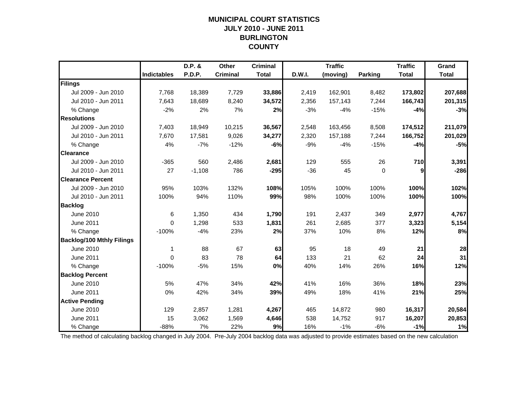### **MUNICIPAL COURT STATISTICSJULY 2010 - JUNE 2011 BURLINGTON COUNTY**

|                                  |                    | D.P. &        | Other           | <b>Criminal</b> |        | <b>Traffic</b> |         | <b>Traffic</b> | Grand        |
|----------------------------------|--------------------|---------------|-----------------|-----------------|--------|----------------|---------|----------------|--------------|
|                                  | <b>Indictables</b> | <b>P.D.P.</b> | <b>Criminal</b> | <b>Total</b>    | D.W.I. | (moving)       | Parking | <b>Total</b>   | <b>Total</b> |
| Filings                          |                    |               |                 |                 |        |                |         |                |              |
| Jul 2009 - Jun 2010              | 7,768              | 18,389        | 7,729           | 33,886          | 2,419  | 162,901        | 8,482   | 173,802        | 207,688      |
| Jul 2010 - Jun 2011              | 7,643              | 18,689        | 8,240           | 34,572          | 2,356  | 157,143        | 7,244   | 166,743        | 201,315      |
| % Change                         | $-2%$              | 2%            | 7%              | 2%              | $-3%$  | $-4%$          | $-15%$  | $-4%$          | $-3%$        |
| <b>Resolutions</b>               |                    |               |                 |                 |        |                |         |                |              |
| Jul 2009 - Jun 2010              | 7,403              | 18,949        | 10,215          | 36,567          | 2,548  | 163,456        | 8,508   | 174,512        | 211,079      |
| Jul 2010 - Jun 2011              | 7,670              | 17,581        | 9,026           | 34,277          | 2,320  | 157,188        | 7,244   | 166,752        | 201,029      |
| % Change                         | 4%                 | $-7%$         | $-12%$          | -6%             | $-9%$  | $-4%$          | $-15%$  | $-4%$          | $-5%$        |
| <b>Clearance</b>                 |                    |               |                 |                 |        |                |         |                |              |
| Jul 2009 - Jun 2010              | $-365$             | 560           | 2,486           | 2,681           | 129    | 555            | 26      | 710            | 3,391        |
| Jul 2010 - Jun 2011              | 27                 | $-1,108$      | 786             | $-295$          | $-36$  | 45             | 0       | 9              | $-286$       |
| <b>Clearance Percent</b>         |                    |               |                 |                 |        |                |         |                |              |
| Jul 2009 - Jun 2010              | 95%                | 103%          | 132%            | 108%            | 105%   | 100%           | 100%    | 100%           | 102%         |
| Jul 2010 - Jun 2011              | 100%               | 94%           | 110%            | 99%             | 98%    | 100%           | 100%    | 100%           | 100%         |
| <b>Backlog</b>                   |                    |               |                 |                 |        |                |         |                |              |
| June 2010                        | 6                  | 1,350         | 434             | 1,790           | 191    | 2,437          | 349     | 2,977          | 4,767        |
| <b>June 2011</b>                 | $\Omega$           | 1,298         | 533             | 1,831           | 261    | 2,685          | 377     | 3,323          | 5,154        |
| % Change                         | $-100%$            | $-4%$         | 23%             | 2%              | 37%    | 10%            | 8%      | 12%            | 8%           |
| <b>Backlog/100 Mthly Filings</b> |                    |               |                 |                 |        |                |         |                |              |
| June 2010                        | 1                  | 88            | 67              | 63              | 95     | 18             | 49      | 21             | 28           |
| <b>June 2011</b>                 | $\Omega$           | 83            | 78              | 64              | 133    | 21             | 62      | 24             | 31           |
| % Change                         | $-100%$            | $-5%$         | 15%             | 0%              | 40%    | 14%            | 26%     | 16%            | 12%          |
| <b>Backlog Percent</b>           |                    |               |                 |                 |        |                |         |                |              |
| June 2010                        | 5%                 | 47%           | 34%             | 42%             | 41%    | 16%            | 36%     | 18%            | 23%          |
| <b>June 2011</b>                 | 0%                 | 42%           | 34%             | 39%             | 49%    | 18%            | 41%     | 21%            | 25%          |
| <b>Active Pending</b>            |                    |               |                 |                 |        |                |         |                |              |
| <b>June 2010</b>                 | 129                | 2,857         | 1,281           | 4,267           | 465    | 14,872         | 980     | 16,317         | 20,584       |
| <b>June 2011</b>                 | 15                 | 3,062         | 1,569           | 4,646           | 538    | 14,752         | 917     | 16,207         | 20,853       |
| % Change                         | $-88%$             | 7%            | 22%             | 9%              | 16%    | $-1%$          | $-6%$   | $-1%$          | 1%           |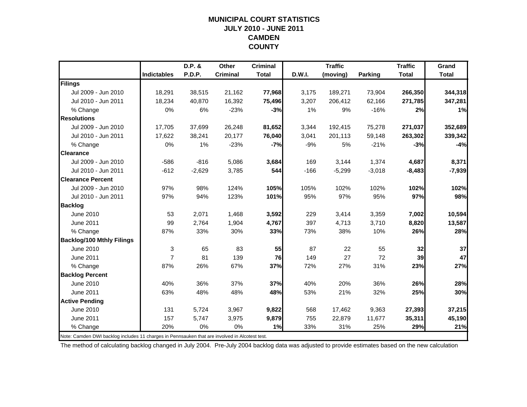#### **MUNICIPAL COURT STATISTICSJULY 2010 - JUNE 2011 CAMDEN COUNTY**

|                                  |                    | D.P. &        | <b>Other</b>    | <b>Criminal</b> |        | <b>Traffic</b> |          | <b>Traffic</b> | Grand        |
|----------------------------------|--------------------|---------------|-----------------|-----------------|--------|----------------|----------|----------------|--------------|
|                                  | <b>Indictables</b> | <b>P.D.P.</b> | <b>Criminal</b> | <b>Total</b>    | D.W.I. | (moving)       | Parking  | <b>Total</b>   | <b>Total</b> |
| Filings                          |                    |               |                 |                 |        |                |          |                |              |
| Jul 2009 - Jun 2010              | 18,291             | 38,515        | 21,162          | 77,968          | 3,175  | 189,271        | 73,904   | 266,350        | 344,318      |
| Jul 2010 - Jun 2011              | 18,234             | 40,870        | 16,392          | 75,496          | 3,207  | 206,412        | 62,166   | 271,785        | 347,281      |
| % Change                         | 0%                 | 6%            | $-23%$          | $-3%$           | 1%     | 9%             | $-16%$   | 2%             | 1%           |
| <b>Resolutions</b>               |                    |               |                 |                 |        |                |          |                |              |
| Jul 2009 - Jun 2010              | 17,705             | 37,699        | 26,248          | 81,652          | 3,344  | 192,415        | 75,278   | 271,037        | 352,689      |
| Jul 2010 - Jun 2011              | 17,622             | 38,241        | 20,177          | 76,040          | 3,041  | 201,113        | 59,148   | 263,302        | 339,342      |
| % Change                         | 0%                 | 1%            | $-23%$          | $-7%$           | $-9%$  | 5%             | $-21%$   | $-3%$          | $-4%$        |
| <b>Clearance</b>                 |                    |               |                 |                 |        |                |          |                |              |
| Jul 2009 - Jun 2010              | $-586$             | $-816$        | 5,086           | 3,684           | 169    | 3,144          | 1,374    | 4,687          | 8,371        |
| Jul 2010 - Jun 2011              | $-612$             | $-2,629$      | 3,785           | 544             | $-166$ | $-5,299$       | $-3,018$ | $-8,483$       | $-7,939$     |
| <b>Clearance Percent</b>         |                    |               |                 |                 |        |                |          |                |              |
| Jul 2009 - Jun 2010              | 97%                | 98%           | 124%            | 105%            | 105%   | 102%           | 102%     | 102%           | 102%         |
| Jul 2010 - Jun 2011              | 97%                | 94%           | 123%            | 101%            | 95%    | 97%            | 95%      | 97%            | 98%          |
| <b>Backlog</b>                   |                    |               |                 |                 |        |                |          |                |              |
| June 2010                        | 53                 | 2,071         | 1,468           | 3,592           | 229    | 3,414          | 3,359    | 7,002          | 10,594       |
| <b>June 2011</b>                 | 99                 | 2,764         | 1,904           | 4,767           | 397    | 4,713          | 3,710    | 8,820          | 13,587       |
| % Change                         | 87%                | 33%           | 30%             | 33%             | 73%    | 38%            | 10%      | 26%            | 28%          |
| <b>Backlog/100 Mthly Filings</b> |                    |               |                 |                 |        |                |          |                |              |
| June 2010                        | 3                  | 65            | 83              | 55              | 87     | 22             | 55       | 32             | 37           |
| June 2011                        | $\overline{7}$     | 81            | 139             | 76              | 149    | 27             | 72       | 39             | 47           |
| % Change                         | 87%                | 26%           | 67%             | 37%             | 72%    | 27%            | 31%      | 23%            | 27%          |
| <b>Backlog Percent</b>           |                    |               |                 |                 |        |                |          |                |              |
| June 2010                        | 40%                | 36%           | 37%             | 37%             | 40%    | 20%            | 36%      | 26%            | 28%          |
| June 2011                        | 63%                | 48%           | 48%             | 48%             | 53%    | 21%            | 32%      | 25%            | 30%          |
| <b>Active Pending</b>            |                    |               |                 |                 |        |                |          |                |              |
| June 2010                        | 131                | 5,724         | 3,967           | 9,822           | 568    | 17,462         | 9,363    | 27,393         | 37,215       |
| <b>June 2011</b>                 | 157                | 5,747         | 3,975           | 9,879           | 755    | 22,879         | 11,677   | 35,311         | 45,190       |
| % Change                         | 20%                | 0%            | 0%              | 1%              | 33%    | 31%            | 25%      | 29%            | 21%          |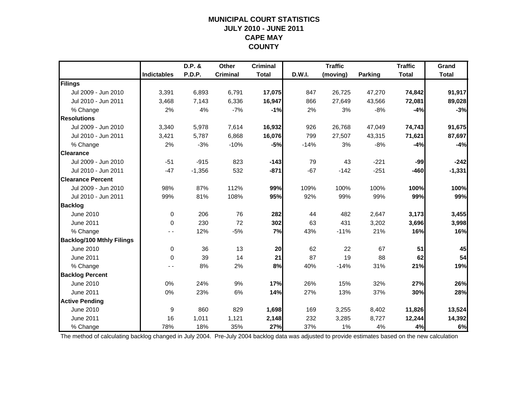### **MUNICIPAL COURT STATISTICSJULY 2010 - JUNE 2011 CAPE MAY COUNTY**

|                                  |                    | D.P. &        | Other           | <b>Criminal</b> |        | <b>Traffic</b> |                | <b>Traffic</b> | Grand        |
|----------------------------------|--------------------|---------------|-----------------|-----------------|--------|----------------|----------------|----------------|--------------|
|                                  | <b>Indictables</b> | <b>P.D.P.</b> | <b>Criminal</b> | <b>Total</b>    | D.W.I. | (moving)       | <b>Parking</b> | <b>Total</b>   | <b>Total</b> |
| Filings                          |                    |               |                 |                 |        |                |                |                |              |
| Jul 2009 - Jun 2010              | 3,391              | 6,893         | 6,791           | 17,075          | 847    | 26,725         | 47,270         | 74,842         | 91,917       |
| Jul 2010 - Jun 2011              | 3,468              | 7,143         | 6,336           | 16,947          | 866    | 27,649         | 43,566         | 72,081         | 89,028       |
| % Change                         | 2%                 | 4%            | $-7%$           | $-1%$           | 2%     | 3%             | $-8%$          | $-4%$          | $-3%$        |
| <b>Resolutions</b>               |                    |               |                 |                 |        |                |                |                |              |
| Jul 2009 - Jun 2010              | 3,340              | 5,978         | 7,614           | 16,932          | 926    | 26,768         | 47,049         | 74,743         | 91,675       |
| Jul 2010 - Jun 2011              | 3,421              | 5,787         | 6,868           | 16,076          | 799    | 27,507         | 43,315         | 71,621         | 87,697       |
| % Change                         | 2%                 | $-3%$         | $-10%$          | $-5%$           | $-14%$ | 3%             | $-8%$          | $-4%$          | $-4%$        |
| <b>Clearance</b>                 |                    |               |                 |                 |        |                |                |                |              |
| Jul 2009 - Jun 2010              | $-51$              | $-915$        | 823             | $-143$          | 79     | 43             | $-221$         | $-99$          | $-242$       |
| Jul 2010 - Jun 2011              | $-47$              | $-1,356$      | 532             | $-871$          | $-67$  | $-142$         | $-251$         | $-460$         | $-1,331$     |
| <b>Clearance Percent</b>         |                    |               |                 |                 |        |                |                |                |              |
| Jul 2009 - Jun 2010              | 98%                | 87%           | 112%            | 99%             | 109%   | 100%           | 100%           | 100%           | 100%         |
| Jul 2010 - Jun 2011              | 99%                | 81%           | 108%            | 95%             | 92%    | 99%            | 99%            | 99%            | 99%          |
| <b>Backlog</b>                   |                    |               |                 |                 |        |                |                |                |              |
| June 2010                        | $\mathbf 0$        | 206           | 76              | 282             | 44     | 482            | 2,647          | 3,173          | 3,455        |
| June 2011                        | $\Omega$           | 230           | 72              | 302             | 63     | 431            | 3,202          | 3,696          | 3,998        |
| % Change                         |                    | 12%           | $-5%$           | 7%              | 43%    | $-11%$         | 21%            | 16%            | 16%          |
| <b>Backlog/100 Mthly Filings</b> |                    |               |                 |                 |        |                |                |                |              |
| June 2010                        | $\pmb{0}$          | 36            | 13              | 20              | 62     | 22             | 67             | 51             | 45           |
| June 2011                        | $\Omega$           | 39            | 14              | 21              | 87     | 19             | 88             | 62             | 54           |
| % Change                         |                    | 8%            | 2%              | 8%              | 40%    | $-14%$         | 31%            | 21%            | 19%          |
| <b>Backlog Percent</b>           |                    |               |                 |                 |        |                |                |                |              |
| <b>June 2010</b>                 | 0%                 | 24%           | 9%              | 17%             | 26%    | 15%            | 32%            | 27%            | 26%          |
| June 2011                        | 0%                 | 23%           | 6%              | 14%             | 27%    | 13%            | 37%            | 30%            | 28%          |
| <b>Active Pending</b>            |                    |               |                 |                 |        |                |                |                |              |
| June 2010                        | 9                  | 860           | 829             | 1,698           | 169    | 3,255          | 8,402          | 11,826         | 13,524       |
| <b>June 2011</b>                 | 16                 | 1,011         | 1,121           | 2,148           | 232    | 3,285          | 8,727          | 12,244         | 14,392       |
| % Change                         | 78%                | 18%           | 35%             | 27%             | 37%    | 1%             | 4%             | 4%             | 6%           |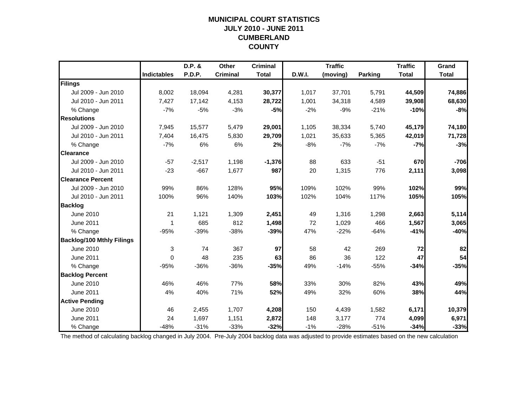### **MUNICIPAL COURT STATISTICSJULY 2010 - JUNE 2011 CUMBERLAND COUNTY**

|                                  |                    | D.P. &        | <b>Other</b>    | <b>Criminal</b> |        | <b>Traffic</b> |                | <b>Traffic</b> | Grand        |
|----------------------------------|--------------------|---------------|-----------------|-----------------|--------|----------------|----------------|----------------|--------------|
|                                  | <b>Indictables</b> | <b>P.D.P.</b> | <b>Criminal</b> | <b>Total</b>    | D.W.I. | (moving)       | <b>Parking</b> | <b>Total</b>   | <b>Total</b> |
| Filings                          |                    |               |                 |                 |        |                |                |                |              |
| Jul 2009 - Jun 2010              | 8,002              | 18,094        | 4,281           | 30,377          | 1,017  | 37,701         | 5,791          | 44,509         | 74,886       |
| Jul 2010 - Jun 2011              | 7,427              | 17,142        | 4,153           | 28,722          | 1,001  | 34,318         | 4,589          | 39,908         | 68,630       |
| % Change                         | $-7%$              | $-5%$         | $-3%$           | $-5%$           | $-2%$  | $-9%$          | $-21%$         | $-10%$         | $-8%$        |
| <b>Resolutions</b>               |                    |               |                 |                 |        |                |                |                |              |
| Jul 2009 - Jun 2010              | 7,945              | 15,577        | 5,479           | 29,001          | 1,105  | 38,334         | 5,740          | 45,179         | 74,180       |
| Jul 2010 - Jun 2011              | 7,404              | 16,475        | 5,830           | 29,709          | 1,021  | 35,633         | 5,365          | 42,019         | 71,728       |
| % Change                         | $-7%$              | 6%            | 6%              | 2%              | $-8%$  | $-7%$          | $-7%$          | $-7%$          | $-3%$        |
| <b>Clearance</b>                 |                    |               |                 |                 |        |                |                |                |              |
| Jul 2009 - Jun 2010              | $-57$              | $-2,517$      | 1,198           | $-1,376$        | 88     | 633            | $-51$          | 670            | $-706$       |
| Jul 2010 - Jun 2011              | $-23$              | $-667$        | 1,677           | 987             | 20     | 1,315          | 776            | 2,111          | 3,098        |
| <b>Clearance Percent</b>         |                    |               |                 |                 |        |                |                |                |              |
| Jul 2009 - Jun 2010              | 99%                | 86%           | 128%            | 95%             | 109%   | 102%           | 99%            | 102%           | 99%          |
| Jul 2010 - Jun 2011              | 100%               | 96%           | 140%            | 103%            | 102%   | 104%           | 117%           | 105%           | 105%         |
| <b>Backlog</b>                   |                    |               |                 |                 |        |                |                |                |              |
| June 2010                        | 21                 | 1,121         | 1,309           | 2,451           | 49     | 1,316          | 1,298          | 2,663          | 5,114        |
| <b>June 2011</b>                 | $\overline{1}$     | 685           | 812             | 1,498           | 72     | 1,029          | 466            | 1,567          | 3,065        |
| % Change                         | $-95%$             | $-39%$        | $-38%$          | $-39%$          | 47%    | $-22%$         | $-64%$         | $-41%$         | -40%         |
| <b>Backlog/100 Mthly Filings</b> |                    |               |                 |                 |        |                |                |                |              |
| June 2010                        | 3                  | 74            | 367             | 97              | 58     | 42             | 269            | 72             | 82           |
| <b>June 2011</b>                 | $\mathbf{0}$       | 48            | 235             | 63              | 86     | 36             | 122            | 47             | 54           |
| % Change                         | $-95%$             | $-36%$        | $-36%$          | $-35%$          | 49%    | $-14%$         | $-55%$         | $-34%$         | $-35%$       |
| <b>Backlog Percent</b>           |                    |               |                 |                 |        |                |                |                |              |
| June 2010                        | 46%                | 46%           | 77%             | 58%             | 33%    | 30%            | 82%            | 43%            | 49%          |
| <b>June 2011</b>                 | 4%                 | 40%           | 71%             | 52%             | 49%    | 32%            | 60%            | 38%            | 44%          |
| <b>Active Pending</b>            |                    |               |                 |                 |        |                |                |                |              |
| <b>June 2010</b>                 | 46                 | 2,455         | 1,707           | 4,208           | 150    | 4,439          | 1,582          | 6,171          | 10,379       |
| <b>June 2011</b>                 | 24                 | 1,697         | 1,151           | 2,872           | 148    | 3,177          | 774            | 4,099          | 6,971        |
| % Change                         | $-48%$             | $-31%$        | $-33%$          | $-32%$          | $-1%$  | $-28%$         | $-51%$         | $-34%$         | $-33%$       |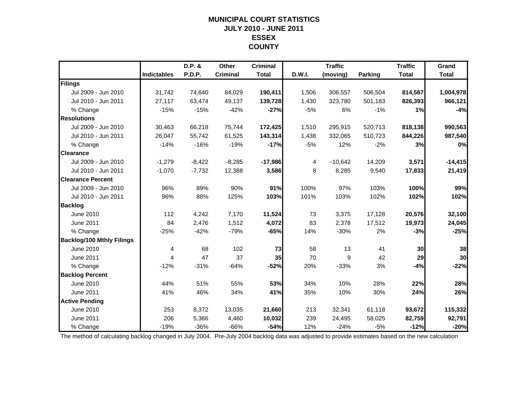### **MUNICIPAL COURT STATISTICSJULY 2010 - JUNE 2011 ESSEX COUNTY**

|                                  |                    | D.P. &   | Other           | <b>Criminal</b> |        | <b>Traffic</b> |                | <b>Traffic</b> | Grand        |
|----------------------------------|--------------------|----------|-----------------|-----------------|--------|----------------|----------------|----------------|--------------|
|                                  | <b>Indictables</b> | P.D.P.   | <b>Criminal</b> | <b>Total</b>    | D.W.I. | (moving)       | <b>Parking</b> | <b>Total</b>   | <b>Total</b> |
| Filings                          |                    |          |                 |                 |        |                |                |                |              |
| Jul 2009 - Jun 2010              | 31,742             | 74,640   | 84,029          | 190,411         | 1,506  | 306,557        | 506,504        | 814,567        | 1,004,978    |
| Jul 2010 - Jun 2011              | 27,117             | 63,474   | 49,137          | 139,728         | 1,430  | 323,780        | 501,183        | 826,393        | 966,121      |
| % Change                         | $-15%$             | $-15%$   | $-42%$          | $-27%$          | $-5%$  | 6%             | $-1%$          | 1%             | $-4%$        |
| <b>Resolutions</b>               |                    |          |                 |                 |        |                |                |                |              |
| Jul 2009 - Jun 2010              | 30,463             | 66,218   | 75,744          | 172,425         | 1,510  | 295,915        | 520,713        | 818,138        | 990,563      |
| Jul 2010 - Jun 2011              | 26,047             | 55,742   | 61,525          | 143,314         | 1,438  | 332,065        | 510,723        | 844,226        | 987,540      |
| % Change                         | $-14%$             | $-16%$   | $-19%$          | $-17%$          | $-5%$  | 12%            | $-2%$          | 3%             | 0%           |
| <b>Clearance</b>                 |                    |          |                 |                 |        |                |                |                |              |
| Jul 2009 - Jun 2010              | $-1,279$           | $-8,422$ | $-8,285$        | $-17,986$       | 4      | $-10,642$      | 14,209         | 3,571          | $-14,415$    |
| Jul 2010 - Jun 2011              | $-1,070$           | $-7,732$ | 12,388          | 3,586           | 8      | 8,285          | 9,540          | 17,833         | 21,419       |
| <b>Clearance Percent</b>         |                    |          |                 |                 |        |                |                |                |              |
| Jul 2009 - Jun 2010              | 96%                | 89%      | 90%             | 91%             | 100%   | 97%            | 103%           | 100%           | 99%          |
| Jul 2010 - Jun 2011              | 96%                | 88%      | 125%            | 103%            | 101%   | 103%           | 102%           | 102%           | 102%         |
| <b>Backlog</b>                   |                    |          |                 |                 |        |                |                |                |              |
| June 2010                        | 112                | 4,242    | 7,170           | 11,524          | 73     | 3,375          | 17,128         | 20,576         | 32,100       |
| June 2011                        | 84                 | 2,476    | 1,512           | 4,072           | 83     | 2,378          | 17,512         | 19,973         | 24,045       |
| % Change                         | $-25%$             | $-42%$   | $-79%$          | $-65%$          | 14%    | $-30%$         | 2%             | $-3%$          | $-25%$       |
| <b>Backlog/100 Mthly Filings</b> |                    |          |                 |                 |        |                |                |                |              |
| June 2010                        | 4                  | 68       | 102             | 73              | 58     | 13             | 41             | 30             | 38           |
| June 2011                        | 4                  | 47       | 37              | 35              | 70     | 9              | 42             | 29             | 30           |
| % Change                         | $-12%$             | $-31%$   | $-64%$          | $-52%$          | 20%    | $-33%$         | 3%             | $-4%$          | $-22%$       |
| <b>Backlog Percent</b>           |                    |          |                 |                 |        |                |                |                |              |
| June 2010                        | 44%                | 51%      | 55%             | 53%             | 34%    | 10%            | 28%            | 22%            | 28%          |
| June 2011                        | 41%                | 46%      | 34%             | 41%             | 35%    | 10%            | 30%            | 24%            | 26%          |
| <b>Active Pending</b>            |                    |          |                 |                 |        |                |                |                |              |
| June 2010                        | 253                | 8,372    | 13,035          | 21,660          | 213    | 32,341         | 61,118         | 93,672         | 115,332      |
| June 2011                        | 206                | 5,366    | 4,460           | 10,032          | 239    | 24,495         | 58,025         | 82,759         | 92,791       |
| % Change                         | $-19%$             | $-36%$   | $-66%$          | $-54%$          | 12%    | $-24%$         | $-5%$          | $-12%$         | $-20%$       |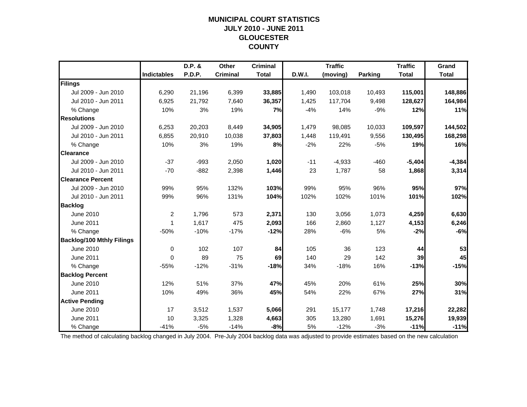### **MUNICIPAL COURT STATISTICSJULY 2010 - JUNE 2011 GLOUCESTER COUNTY**

|                                  |                    | D.P. &        | Other           | <b>Criminal</b> |        | <b>Traffic</b> |         | <b>Traffic</b> | Grand        |
|----------------------------------|--------------------|---------------|-----------------|-----------------|--------|----------------|---------|----------------|--------------|
|                                  | <b>Indictables</b> | <b>P.D.P.</b> | <b>Criminal</b> | <b>Total</b>    | D.W.I. | (moving)       | Parking | <b>Total</b>   | <b>Total</b> |
| Filings                          |                    |               |                 |                 |        |                |         |                |              |
| Jul 2009 - Jun 2010              | 6.290              | 21,196        | 6,399           | 33,885          | 1.490  | 103,018        | 10,493  | 115,001        | 148,886      |
| Jul 2010 - Jun 2011              | 6,925              | 21,792        | 7,640           | 36,357          | 1,425  | 117,704        | 9,498   | 128,627        | 164,984      |
| % Change                         | 10%                | 3%            | 19%             | 7%              | $-4%$  | 14%            | $-9%$   | 12%            | 11%          |
| <b>Resolutions</b>               |                    |               |                 |                 |        |                |         |                |              |
| Jul 2009 - Jun 2010              | 6,253              | 20,203        | 8,449           | 34,905          | 1,479  | 98,085         | 10,033  | 109,597        | 144,502      |
| Jul 2010 - Jun 2011              | 6,855              | 20,910        | 10,038          | 37,803          | 1,448  | 119,491        | 9,556   | 130,495        | 168,298      |
| % Change                         | 10%                | 3%            | 19%             | 8%              | $-2%$  | 22%            | $-5%$   | 19%            | 16%          |
| <b>Clearance</b>                 |                    |               |                 |                 |        |                |         |                |              |
| Jul 2009 - Jun 2010              | $-37$              | $-993$        | 2,050           | 1,020           | $-11$  | $-4,933$       | $-460$  | $-5,404$       | $-4,384$     |
| Jul 2010 - Jun 2011              | $-70$              | $-882$        | 2,398           | 1,446           | 23     | 1,787          | 58      | 1,868          | 3,314        |
| <b>Clearance Percent</b>         |                    |               |                 |                 |        |                |         |                |              |
| Jul 2009 - Jun 2010              | 99%                | 95%           | 132%            | 103%            | 99%    | 95%            | 96%     | 95%            | 97%          |
| Jul 2010 - Jun 2011              | 99%                | 96%           | 131%            | 104%            | 102%   | 102%           | 101%    | 101%           | 102%         |
| <b>Backlog</b>                   |                    |               |                 |                 |        |                |         |                |              |
| June 2010                        | $\overline{c}$     | 1,796         | 573             | 2,371           | 130    | 3,056          | 1,073   | 4,259          | 6,630        |
| June 2011                        | 1                  | 1,617         | 475             | 2,093           | 166    | 2,860          | 1,127   | 4,153          | 6,246        |
| % Change                         | $-50%$             | $-10%$        | $-17%$          | $-12%$          | 28%    | $-6%$          | 5%      | $-2%$          | $-6%$        |
| <b>Backlog/100 Mthly Filings</b> |                    |               |                 |                 |        |                |         |                |              |
| June 2010                        | $\mathbf 0$        | 102           | 107             | 84              | 105    | 36             | 123     | 44             | 53           |
| June 2011                        | $\Omega$           | 89            | 75              | 69              | 140    | 29             | 142     | 39             | 45           |
| % Change                         | $-55%$             | $-12%$        | $-31%$          | $-18%$          | 34%    | $-18%$         | 16%     | $-13%$         | $-15%$       |
| <b>Backlog Percent</b>           |                    |               |                 |                 |        |                |         |                |              |
| <b>June 2010</b>                 | 12%                | 51%           | 37%             | 47%             | 45%    | 20%            | 61%     | 25%            | 30%          |
| June 2011                        | 10%                | 49%           | 36%             | 45%             | 54%    | 22%            | 67%     | 27%            | 31%          |
| <b>Active Pending</b>            |                    |               |                 |                 |        |                |         |                |              |
| <b>June 2010</b>                 | 17                 | 3,512         | 1,537           | 5,066           | 291    | 15,177         | 1,748   | 17,216         | 22,282       |
| June 2011                        | 10                 | 3,325         | 1,328           | 4,663           | 305    | 13,280         | 1,691   | 15,276         | 19,939       |
| % Change                         | $-41%$             | $-5%$         | $-14%$          | $-8%$           | 5%     | $-12%$         | $-3%$   | $-11%$         | $-11%$       |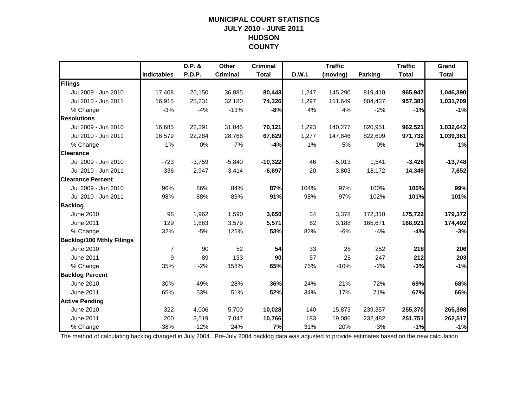### **MUNICIPAL COURT STATISTICSJULY 2010 - JUNE 2011 HUDSON COUNTY**

|                                  |                    | D.P. &   | Other           | <b>Criminal</b> |        | <b>Traffic</b> |                | <b>Traffic</b> | Grand        |
|----------------------------------|--------------------|----------|-----------------|-----------------|--------|----------------|----------------|----------------|--------------|
|                                  | <b>Indictables</b> | P.D.P.   | <b>Criminal</b> | <b>Total</b>    | D.W.I. | (moving)       | <b>Parking</b> | <b>Total</b>   | <b>Total</b> |
| Filings                          |                    |          |                 |                 |        |                |                |                |              |
| Jul 2009 - Jun 2010              | 17,408             | 26,150   | 36,885          | 80,443          | 1,247  | 145,290        | 819,410        | 965,947        | 1,046,390    |
| Jul 2010 - Jun 2011              | 16,915             | 25,231   | 32,180          | 74,326          | 1,297  | 151,649        | 804,437        | 957,383        | 1,031,709    |
| % Change                         | $-3%$              | $-4%$    | $-13%$          | $-8%$           | 4%     | 4%             | $-2%$          | $-1%$          | $-1%$        |
| <b>Resolutions</b>               |                    |          |                 |                 |        |                |                |                |              |
| Jul 2009 - Jun 2010              | 16,685             | 22,391   | 31,045          | 70,121          | 1,293  | 140,277        | 820,951        | 962,521        | 1,032,642    |
| Jul 2010 - Jun 2011              | 16,579             | 22,284   | 28,766          | 67,629          | 1,277  | 147,846        | 822,609        | 971,732        | 1,039,361    |
| % Change                         | $-1%$              | 0%       | $-7%$           | $-4%$           | $-1%$  | 5%             | 0%             | 1%             | 1%           |
| <b>Clearance</b>                 |                    |          |                 |                 |        |                |                |                |              |
| Jul 2009 - Jun 2010              | $-723$             | $-3,759$ | $-5,840$        | $-10,322$       | 46     | $-5,013$       | 1,541          | $-3,426$       | $-13,748$    |
| Jul 2010 - Jun 2011              | $-336$             | $-2,947$ | $-3,414$        | $-6,697$        | $-20$  | $-3,803$       | 18,172         | 14,349         | 7,652        |
| <b>Clearance Percent</b>         |                    |          |                 |                 |        |                |                |                |              |
| Jul 2009 - Jun 2010              | 96%                | 86%      | 84%             | 87%             | 104%   | 97%            | 100%           | 100%           | 99%          |
| Jul 2010 - Jun 2011              | 98%                | 88%      | 89%             | 91%             | 98%    | 97%            | 102%           | 101%           | 101%         |
| <b>Backlog</b>                   |                    |          |                 |                 |        |                |                |                |              |
| June 2010                        | 98                 | 1,962    | 1,590           | 3,650           | 34     | 3,378          | 172,310        | 175,722        | 179,372      |
| June 2011                        | 129                | 1,863    | 3,579           | 5,571           | 62     | 3,188          | 165,671        | 168,921        | 174,492      |
| % Change                         | 32%                | $-5%$    | 125%            | 53%             | 82%    | $-6%$          | $-4%$          | $-4%$          | $-3%$        |
| <b>Backlog/100 Mthly Filings</b> |                    |          |                 |                 |        |                |                |                |              |
| June 2010                        | $\overline{7}$     | 90       | 52              | 54              | 33     | 28             | 252            | 218            | 206          |
| <b>June 2011</b>                 | 9                  | 89       | 133             | 90              | 57     | 25             | 247            | 212            | 203          |
| % Change                         | 35%                | $-2%$    | 158%            | 65%             | 75%    | $-10%$         | $-2%$          | $-3%$          | $-1%$        |
| <b>Backlog Percent</b>           |                    |          |                 |                 |        |                |                |                |              |
| <b>June 2010</b>                 | 30%                | 49%      | 28%             | 36%             | 24%    | 21%            | 72%            | 69%            | 68%          |
| <b>June 2011</b>                 | 65%                | 53%      | 51%             | 52%             | 34%    | 17%            | 71%            | 67%            | 66%          |
| <b>Active Pending</b>            |                    |          |                 |                 |        |                |                |                |              |
| June 2010                        | 322                | 4,006    | 5,700           | 10,028          | 140    | 15,873         | 239,357        | 255,370        | 265,398      |
| <b>June 2011</b>                 | 200                | 3,519    | 7,047           | 10,766          | 183    | 19,086         | 232,482        | 251,751        | 262,517      |
| % Change                         | $-38%$             | $-12%$   | 24%             | 7%              | 31%    | 20%            | $-3%$          | $-1%$          | $-1%$        |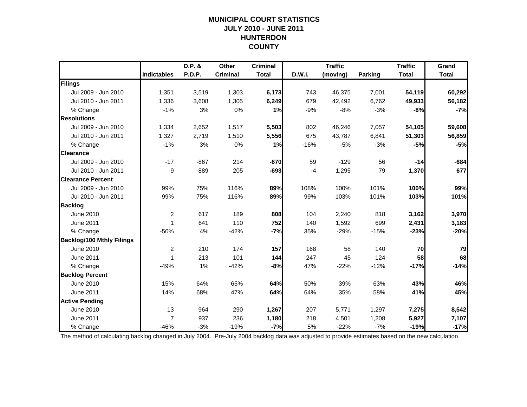### **MUNICIPAL COURT STATISTICSJULY 2010 - JUNE 2011 HUNTERDON COUNTY**

|                                  |                    | D.P. &        | Other           | <b>Criminal</b> |        | <b>Traffic</b> |                | <b>Traffic</b> | Grand        |
|----------------------------------|--------------------|---------------|-----------------|-----------------|--------|----------------|----------------|----------------|--------------|
|                                  | <b>Indictables</b> | <b>P.D.P.</b> | <b>Criminal</b> | <b>Total</b>    | D.W.I. | (moving)       | <b>Parking</b> | <b>Total</b>   | <b>Total</b> |
| Filings                          |                    |               |                 |                 |        |                |                |                |              |
| Jul 2009 - Jun 2010              | 1,351              | 3,519         | 1,303           | 6,173           | 743    | 46,375         | 7,001          | 54,119         | 60,292       |
| Jul 2010 - Jun 2011              | 1,336              | 3,608         | 1,305           | 6,249           | 679    | 42,492         | 6,762          | 49,933         | 56,182       |
| % Change                         | $-1%$              | 3%            | 0%              | 1%              | $-9%$  | $-8%$          | $-3%$          | $-8%$          | $-7%$        |
| <b>Resolutions</b>               |                    |               |                 |                 |        |                |                |                |              |
| Jul 2009 - Jun 2010              | 1,334              | 2,652         | 1,517           | 5,503           | 802    | 46,246         | 7,057          | 54,105         | 59,608       |
| Jul 2010 - Jun 2011              | 1,327              | 2,719         | 1,510           | 5,556           | 675    | 43,787         | 6,841          | 51,303         | 56,859       |
| % Change                         | $-1%$              | 3%            | 0%              | 1%              | $-16%$ | $-5%$          | $-3%$          | $-5%$          | $-5%$        |
| <b>Clearance</b>                 |                    |               |                 |                 |        |                |                |                |              |
| Jul 2009 - Jun 2010              | $-17$              | $-867$        | 214             | $-670$          | 59     | $-129$         | 56             | $-14$          | $-684$       |
| Jul 2010 - Jun 2011              | -9                 | $-889$        | 205             | $-693$          | $-4$   | 1,295          | 79             | 1,370          | 677          |
| <b>Clearance Percent</b>         |                    |               |                 |                 |        |                |                |                |              |
| Jul 2009 - Jun 2010              | 99%                | 75%           | 116%            | 89%             | 108%   | 100%           | 101%           | 100%           | 99%          |
| Jul 2010 - Jun 2011              | 99%                | 75%           | 116%            | 89%             | 99%    | 103%           | 101%           | 103%           | 101%         |
| <b>Backlog</b>                   |                    |               |                 |                 |        |                |                |                |              |
| June 2010                        | $\overline{2}$     | 617           | 189             | 808             | 104    | 2,240          | 818            | 3,162          | 3,970        |
| June 2011                        | $\mathbf{1}$       | 641           | 110             | 752             | 140    | 1,592          | 699            | 2,431          | 3,183        |
| % Change                         | $-50%$             | 4%            | $-42%$          | $-7%$           | 35%    | $-29%$         | $-15%$         | $-23%$         | $-20%$       |
| <b>Backlog/100 Mthly Filings</b> |                    |               |                 |                 |        |                |                |                |              |
| June 2010                        | $\overline{2}$     | 210           | 174             | 157             | 168    | 58             | 140            | 70             | 79           |
| <b>June 2011</b>                 | 1                  | 213           | 101             | 144             | 247    | 45             | 124            | 58             | 68           |
| % Change                         | $-49%$             | 1%            | $-42%$          | -8%             | 47%    | $-22%$         | $-12%$         | $-17%$         | $-14%$       |
| <b>Backlog Percent</b>           |                    |               |                 |                 |        |                |                |                |              |
| June 2010                        | 15%                | 64%           | 65%             | 64%             | 50%    | 39%            | 63%            | 43%            | 46%          |
| <b>June 2011</b>                 | 14%                | 68%           | 47%             | 64%             | 64%    | 35%            | 58%            | 41%            | 45%          |
| <b>Active Pending</b>            |                    |               |                 |                 |        |                |                |                |              |
| June 2010                        | 13                 | 964           | 290             | 1,267           | 207    | 5,771          | 1,297          | 7,275          | 8,542        |
| <b>June 2011</b>                 | $\overline{7}$     | 937           | 236             | 1,180           | 218    | 4,501          | 1,208          | 5,927          | 7,107        |
| % Change                         | $-46%$             | $-3%$         | $-19%$          | $-7%$           | 5%     | $-22%$         | $-7%$          | $-19%$         | $-17%$       |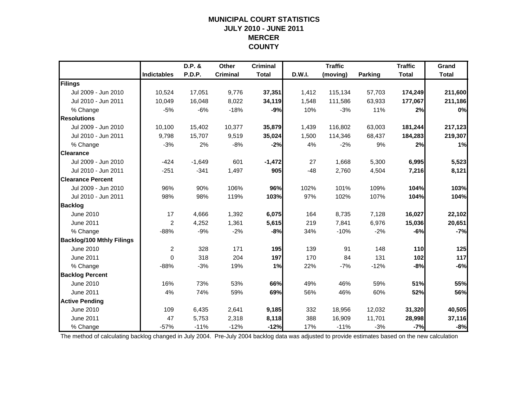### **MUNICIPAL COURT STATISTICSJULY 2010 - JUNE 2011 MERCER COUNTY**

|                                  |                    | D.P. &   | Other           | <b>Criminal</b> |        | <b>Traffic</b> |         | <b>Traffic</b> | Grand        |
|----------------------------------|--------------------|----------|-----------------|-----------------|--------|----------------|---------|----------------|--------------|
|                                  | <b>Indictables</b> | P.D.P.   | <b>Criminal</b> | <b>Total</b>    | D.W.I. | (moving)       | Parking | <b>Total</b>   | <b>Total</b> |
| Filings                          |                    |          |                 |                 |        |                |         |                |              |
| Jul 2009 - Jun 2010              | 10,524             | 17,051   | 9,776           | 37,351          | 1,412  | 115,134        | 57,703  | 174,249        | 211,600      |
| Jul 2010 - Jun 2011              | 10,049             | 16,048   | 8,022           | 34,119          | 1,548  | 111,586        | 63,933  | 177,067        | 211,186      |
| % Change                         | $-5%$              | $-6%$    | $-18%$          | $-9%$           | 10%    | $-3%$          | 11%     | 2%             | 0%           |
| <b>Resolutions</b>               |                    |          |                 |                 |        |                |         |                |              |
| Jul 2009 - Jun 2010              | 10,100             | 15,402   | 10,377          | 35,879          | 1,439  | 116,802        | 63,003  | 181,244        | 217,123      |
| Jul 2010 - Jun 2011              | 9,798              | 15,707   | 9,519           | 35,024          | 1,500  | 114,346        | 68,437  | 184,283        | 219,307      |
| % Change                         | $-3%$              | 2%       | $-8%$           | $-2%$           | 4%     | $-2%$          | 9%      | 2%             | 1%           |
| <b>Clearance</b>                 |                    |          |                 |                 |        |                |         |                |              |
| Jul 2009 - Jun 2010              | $-424$             | $-1,649$ | 601             | $-1,472$        | 27     | 1,668          | 5,300   | 6,995          | 5,523        |
| Jul 2010 - Jun 2011              | $-251$             | $-341$   | 1,497           | 905             | $-48$  | 2,760          | 4,504   | 7,216          | 8,121        |
| <b>Clearance Percent</b>         |                    |          |                 |                 |        |                |         |                |              |
| Jul 2009 - Jun 2010              | 96%                | 90%      | 106%            | 96%             | 102%   | 101%           | 109%    | 104%           | 103%         |
| Jul 2010 - Jun 2011              | 98%                | 98%      | 119%            | 103%            | 97%    | 102%           | 107%    | 104%           | 104%         |
| <b>Backlog</b>                   |                    |          |                 |                 |        |                |         |                |              |
| June 2010                        | 17                 | 4,666    | 1,392           | 6,075           | 164    | 8,735          | 7,128   | 16,027         | 22,102       |
| June 2011                        | 2                  | 4,252    | 1,361           | 5,615           | 219    | 7,841          | 6,976   | 15,036         | 20,651       |
| % Change                         | $-88%$             | $-9%$    | $-2%$           | $-8%$           | 34%    | $-10%$         | $-2%$   | $-6%$          | $-7%$        |
| <b>Backlog/100 Mthly Filings</b> |                    |          |                 |                 |        |                |         |                |              |
| June 2010                        | $\overline{2}$     | 328      | 171             | 195             | 139    | 91             | 148     | 110            | 125          |
| June 2011                        | $\mathbf 0$        | 318      | 204             | 197             | 170    | 84             | 131     | 102            | 117          |
| % Change                         | $-88%$             | $-3%$    | 19%             | 1%              | 22%    | $-7%$          | $-12%$  | $-8%$          | $-6%$        |
| <b>Backlog Percent</b>           |                    |          |                 |                 |        |                |         |                |              |
| June 2010                        | 16%                | 73%      | 53%             | 66%             | 49%    | 46%            | 59%     | 51%            | 55%          |
| June 2011                        | 4%                 | 74%      | 59%             | 69%             | 56%    | 46%            | 60%     | 52%            | 56%          |
| <b>Active Pending</b>            |                    |          |                 |                 |        |                |         |                |              |
| <b>June 2010</b>                 | 109                | 6,435    | 2,641           | 9,185           | 332    | 18,956         | 12,032  | 31,320         | 40,505       |
| <b>June 2011</b>                 | 47                 | 5,753    | 2,318           | 8,118           | 388    | 16,909         | 11,701  | 28,998         | 37,116       |
| % Change                         | $-57%$             | $-11%$   | $-12%$          | $-12%$          | 17%    | $-11%$         | $-3%$   | $-7%$          | $-8%$        |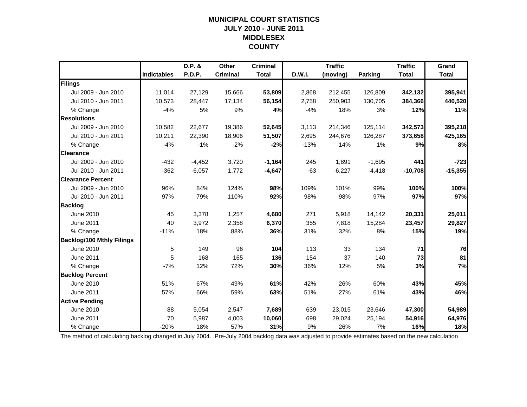### **MUNICIPAL COURT STATISTICSJULY 2010 - JUNE 2011 MIDDLESEX COUNTY**

|                                  |                    | D.P. &   | Other           | <b>Criminal</b> |        | <b>Traffic</b> |                | <b>Traffic</b> | Grand        |
|----------------------------------|--------------------|----------|-----------------|-----------------|--------|----------------|----------------|----------------|--------------|
|                                  | <b>Indictables</b> | P.D.P.   | <b>Criminal</b> | <b>Total</b>    | D.W.I. | (moving)       | <b>Parking</b> | <b>Total</b>   | <b>Total</b> |
| Filings                          |                    |          |                 |                 |        |                |                |                |              |
| Jul 2009 - Jun 2010              | 11,014             | 27,129   | 15,666          | 53,809          | 2,868  | 212,455        | 126,809        | 342,132        | 395,941      |
| Jul 2010 - Jun 2011              | 10,573             | 28,447   | 17,134          | 56,154          | 2,758  | 250,903        | 130,705        | 384,366        | 440,520      |
| % Change                         | $-4%$              | 5%       | 9%              | 4%              | $-4%$  | 18%            | 3%             | 12%            | 11%          |
| <b>Resolutions</b>               |                    |          |                 |                 |        |                |                |                |              |
| Jul 2009 - Jun 2010              | 10,582             | 22,677   | 19,386          | 52,645          | 3,113  | 214,346        | 125,114        | 342,573        | 395,218      |
| Jul 2010 - Jun 2011              | 10,211             | 22,390   | 18,906          | 51,507          | 2,695  | 244,676        | 126,287        | 373,658        | 425,165      |
| % Change                         | $-4%$              | $-1%$    | $-2%$           | $-2%$           | $-13%$ | 14%            | 1%             | 9%             | 8%           |
| <b>Clearance</b>                 |                    |          |                 |                 |        |                |                |                |              |
| Jul 2009 - Jun 2010              | $-432$             | $-4,452$ | 3,720           | $-1,164$        | 245    | 1,891          | $-1,695$       | 441            | $-723$       |
| Jul 2010 - Jun 2011              | $-362$             | $-6,057$ | 1,772           | $-4,647$        | $-63$  | $-6,227$       | $-4,418$       | $-10,708$      | $-15,355$    |
| <b>Clearance Percent</b>         |                    |          |                 |                 |        |                |                |                |              |
| Jul 2009 - Jun 2010              | 96%                | 84%      | 124%            | 98%             | 109%   | 101%           | 99%            | 100%           | 100%         |
| Jul 2010 - Jun 2011              | 97%                | 79%      | 110%            | 92%             | 98%    | 98%            | 97%            | 97%            | 97%          |
| <b>Backlog</b>                   |                    |          |                 |                 |        |                |                |                |              |
| June 2010                        | 45                 | 3,378    | 1,257           | 4,680           | 271    | 5,918          | 14,142         | 20,331         | 25,011       |
| June 2011                        | 40                 | 3,972    | 2,358           | 6,370           | 355    | 7,818          | 15,284         | 23,457         | 29,827       |
| % Change                         | $-11%$             | 18%      | 88%             | 36%             | 31%    | 32%            | 8%             | 15%            | 19%          |
| <b>Backlog/100 Mthly Filings</b> |                    |          |                 |                 |        |                |                |                |              |
| June 2010                        | 5                  | 149      | 96              | 104             | 113    | 33             | 134            | 71             | 76           |
| <b>June 2011</b>                 | 5                  | 168      | 165             | 136             | 154    | 37             | 140            | 73             | 81           |
| % Change                         | $-7%$              | 12%      | 72%             | 30%             | 36%    | 12%            | 5%             | 3%             | 7%           |
| <b>Backlog Percent</b>           |                    |          |                 |                 |        |                |                |                |              |
| June 2010                        | 51%                | 67%      | 49%             | 61%             | 42%    | 26%            | 60%            | 43%            | 45%          |
| <b>June 2011</b>                 | 57%                | 66%      | 59%             | 63%             | 51%    | 27%            | 61%            | 43%            | 46%          |
| <b>Active Pending</b>            |                    |          |                 |                 |        |                |                |                |              |
| June 2010                        | 88                 | 5,054    | 2,547           | 7,689           | 639    | 23,015         | 23,646         | 47,300         | 54,989       |
| <b>June 2011</b>                 | 70                 | 5,987    | 4,003           | 10,060          | 698    | 29,024         | 25,194         | 54,916         | 64,976       |
| % Change                         | $-20%$             | 18%      | 57%             | 31%             | 9%     | 26%            | 7%             | 16%            | 18%          |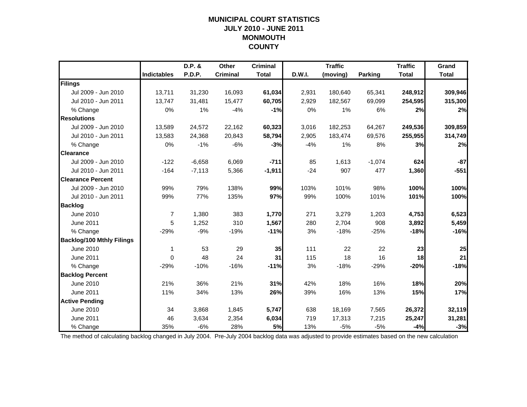### **MUNICIPAL COURT STATISTICSJULY 2010 - JUNE 2011 MONMOUTH COUNTY**

|                                  |                    | D.P. &   | Other           | <b>Criminal</b> |        | <b>Traffic</b> |                | <b>Traffic</b> | Grand        |
|----------------------------------|--------------------|----------|-----------------|-----------------|--------|----------------|----------------|----------------|--------------|
|                                  | <b>Indictables</b> | P.D.P.   | <b>Criminal</b> | <b>Total</b>    | D.W.I. | (moving)       | <b>Parking</b> | <b>Total</b>   | <b>Total</b> |
| Filings                          |                    |          |                 |                 |        |                |                |                |              |
| Jul 2009 - Jun 2010              | 13,711             | 31,230   | 16,093          | 61,034          | 2,931  | 180,640        | 65,341         | 248,912        | 309,946      |
| Jul 2010 - Jun 2011              | 13,747             | 31,481   | 15,477          | 60,705          | 2,929  | 182,567        | 69,099         | 254,595        | 315,300      |
| % Change                         | 0%                 | 1%       | $-4%$           | $-1%$           | 0%     | 1%             | 6%             | 2%             | 2%           |
| <b>Resolutions</b>               |                    |          |                 |                 |        |                |                |                |              |
| Jul 2009 - Jun 2010              | 13,589             | 24,572   | 22,162          | 60,323          | 3,016  | 182,253        | 64,267         | 249,536        | 309,859      |
| Jul 2010 - Jun 2011              | 13,583             | 24,368   | 20,843          | 58,794          | 2,905  | 183,474        | 69,576         | 255,955        | 314,749      |
| % Change                         | 0%                 | $-1%$    | $-6%$           | $-3%$           | $-4%$  | 1%             | 8%             | 3%             | 2%           |
| <b>Clearance</b>                 |                    |          |                 |                 |        |                |                |                |              |
| Jul 2009 - Jun 2010              | $-122$             | $-6,658$ | 6,069           | $-711$          | 85     | 1,613          | $-1,074$       | 624            | $-87$        |
| Jul 2010 - Jun 2011              | $-164$             | $-7,113$ | 5,366           | $-1,911$        | $-24$  | 907            | 477            | 1,360          | $-551$       |
| <b>Clearance Percent</b>         |                    |          |                 |                 |        |                |                |                |              |
| Jul 2009 - Jun 2010              | 99%                | 79%      | 138%            | 99%             | 103%   | 101%           | 98%            | 100%           | 100%         |
| Jul 2010 - Jun 2011              | 99%                | 77%      | 135%            | 97%             | 99%    | 100%           | 101%           | 101%           | 100%         |
| <b>Backlog</b>                   |                    |          |                 |                 |        |                |                |                |              |
| June 2010                        | $\overline{7}$     | 1,380    | 383             | 1,770           | 271    | 3,279          | 1,203          | 4,753          | 6,523        |
| June 2011                        | 5                  | 1,252    | 310             | 1,567           | 280    | 2,704          | 908            | 3,892          | 5,459        |
| % Change                         | $-29%$             | $-9%$    | $-19%$          | $-11%$          | 3%     | $-18%$         | $-25%$         | $-18%$         | $-16%$       |
| <b>Backlog/100 Mthly Filings</b> |                    |          |                 |                 |        |                |                |                |              |
| June 2010                        | 1                  | 53       | 29              | 35              | 111    | 22             | 22             | 23             | 25           |
| <b>June 2011</b>                 | $\Omega$           | 48       | 24              | 31              | 115    | 18             | 16             | 18             | 21           |
| % Change                         | $-29%$             | $-10%$   | $-16%$          | $-11%$          | 3%     | $-18%$         | $-29%$         | $-20%$         | $-18%$       |
| <b>Backlog Percent</b>           |                    |          |                 |                 |        |                |                |                |              |
| June 2010                        | 21%                | 36%      | 21%             | 31%             | 42%    | 18%            | 16%            | 18%            | 20%          |
| June 2011                        | 11%                | 34%      | 13%             | 26%             | 39%    | 16%            | 13%            | 15%            | 17%          |
| <b>Active Pending</b>            |                    |          |                 |                 |        |                |                |                |              |
| <b>June 2010</b>                 | 34                 | 3,868    | 1,845           | 5,747           | 638    | 18,169         | 7,565          | 26,372         | 32,119       |
| <b>June 2011</b>                 | 46                 | 3,634    | 2,354           | 6,034           | 719    | 17,313         | 7,215          | 25,247         | 31,281       |
| % Change                         | 35%                | $-6%$    | 28%             | 5%              | 13%    | $-5%$          | $-5%$          | $-4%$          | $-3%$        |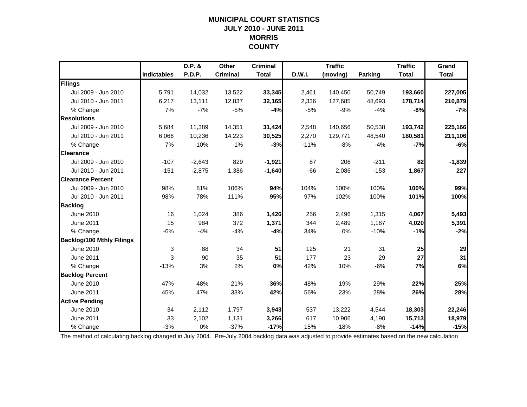### **MUNICIPAL COURT STATISTICSJULY 2010 - JUNE 2011 MORRIS COUNTY**

|                                  |                    | D.P. &   | Other           | <b>Criminal</b> |        | <b>Traffic</b> |         | <b>Traffic</b> | Grand        |
|----------------------------------|--------------------|----------|-----------------|-----------------|--------|----------------|---------|----------------|--------------|
|                                  | <b>Indictables</b> | P.D.P.   | <b>Criminal</b> | <b>Total</b>    | D.W.I. | (moving)       | Parking | <b>Total</b>   | <b>Total</b> |
| Filings                          |                    |          |                 |                 |        |                |         |                |              |
| Jul 2009 - Jun 2010              | 5,791              | 14,032   | 13,522          | 33,345          | 2,461  | 140,450        | 50,749  | 193,660        | 227,005      |
| Jul 2010 - Jun 2011              | 6,217              | 13,111   | 12,837          | 32,165          | 2,336  | 127,685        | 48,693  | 178,714        | 210,879      |
| % Change                         | 7%                 | $-7%$    | $-5%$           | $-4%$           | $-5%$  | $-9%$          | $-4%$   | $-8%$          | $-7%$        |
| <b>Resolutions</b>               |                    |          |                 |                 |        |                |         |                |              |
| Jul 2009 - Jun 2010              | 5,684              | 11,389   | 14,351          | 31,424          | 2,548  | 140,656        | 50,538  | 193,742        | 225,166      |
| Jul 2010 - Jun 2011              | 6,066              | 10,236   | 14,223          | 30,525          | 2,270  | 129,771        | 48,540  | 180,581        | 211,106      |
| % Change                         | 7%                 | $-10%$   | $-1%$           | $-3%$           | $-11%$ | $-8%$          | $-4%$   | $-7%$          | $-6%$        |
| <b>Clearance</b>                 |                    |          |                 |                 |        |                |         |                |              |
| Jul 2009 - Jun 2010              | $-107$             | $-2,643$ | 829             | $-1,921$        | 87     | 206            | $-211$  | 82             | $-1,839$     |
| Jul 2010 - Jun 2011              | $-151$             | $-2,875$ | 1,386           | $-1,640$        | $-66$  | 2,086          | $-153$  | 1,867          | 227          |
| <b>Clearance Percent</b>         |                    |          |                 |                 |        |                |         |                |              |
| Jul 2009 - Jun 2010              | 98%                | 81%      | 106%            | 94%             | 104%   | 100%           | 100%    | 100%           | 99%          |
| Jul 2010 - Jun 2011              | 98%                | 78%      | 111%            | 95%             | 97%    | 102%           | 100%    | 101%           | 100%         |
| <b>Backlog</b>                   |                    |          |                 |                 |        |                |         |                |              |
| June 2010                        | 16                 | 1,024    | 386             | 1,426           | 256    | 2,496          | 1,315   | 4,067          | 5,493        |
| June 2011                        | 15                 | 984      | 372             | 1,371           | 344    | 2,489          | 1,187   | 4,020          | 5,391        |
| % Change                         | $-6%$              | $-4%$    | $-4%$           | $-4%$           | 34%    | 0%             | $-10%$  | $-1%$          | $-2%$        |
| <b>Backlog/100 Mthly Filings</b> |                    |          |                 |                 |        |                |         |                |              |
| June 2010                        | 3                  | 88       | 34              | 51              | 125    | 21             | 31      | 25             | 29           |
| <b>June 2011</b>                 | 3                  | 90       | 35              | 51              | 177    | 23             | 29      | 27             | 31           |
| % Change                         | $-13%$             | 3%       | 2%              | 0%              | 42%    | 10%            | $-6%$   | 7%             | 6%           |
| <b>Backlog Percent</b>           |                    |          |                 |                 |        |                |         |                |              |
| June 2010                        | 47%                | 48%      | 21%             | 36%             | 48%    | 19%            | 29%     | 22%            | 25%          |
| June 2011                        | 45%                | 47%      | 33%             | 42%             | 56%    | 23%            | 28%     | 26%            | 28%          |
| <b>Active Pending</b>            |                    |          |                 |                 |        |                |         |                |              |
| <b>June 2010</b>                 | 34                 | 2,112    | 1,797           | 3,943           | 537    | 13,222         | 4,544   | 18,303         | 22,246       |
| <b>June 2011</b>                 | 33                 | 2,102    | 1,131           | 3,266           | 617    | 10,906         | 4,190   | 15,713         | 18,979       |
| % Change                         | $-3%$              | 0%       | $-37%$          | $-17%$          | 15%    | $-18%$         | $-8%$   | $-14%$         | $-15%$       |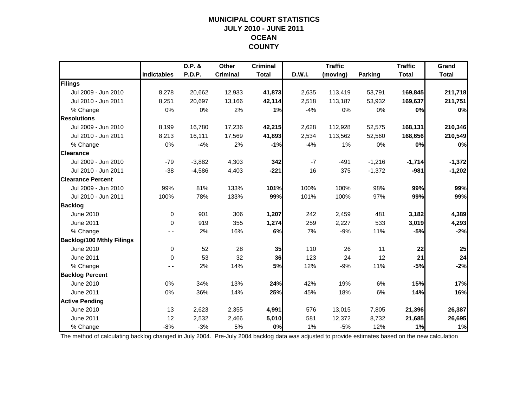### **MUNICIPAL COURT STATISTICSJULY 2010 - JUNE 2011 OCEAN COUNTY**

|                                  |                    | D.P. &   | Other           | <b>Criminal</b> |        | <b>Traffic</b> |          | <b>Traffic</b> | Grand        |
|----------------------------------|--------------------|----------|-----------------|-----------------|--------|----------------|----------|----------------|--------------|
|                                  | <b>Indictables</b> | P.D.P.   | <b>Criminal</b> | <b>Total</b>    | D.W.I. | (moving)       | Parking  | <b>Total</b>   | <b>Total</b> |
| Filings                          |                    |          |                 |                 |        |                |          |                |              |
| Jul 2009 - Jun 2010              | 8,278              | 20,662   | 12,933          | 41,873          | 2,635  | 113,419        | 53,791   | 169,845        | 211,718      |
| Jul 2010 - Jun 2011              | 8,251              | 20,697   | 13,166          | 42,114          | 2,518  | 113,187        | 53,932   | 169,637        | 211,751      |
| % Change                         | 0%                 | 0%       | 2%              | 1%              | $-4%$  | 0%             | 0%       | 0%             | 0%           |
| <b>Resolutions</b>               |                    |          |                 |                 |        |                |          |                |              |
| Jul 2009 - Jun 2010              | 8,199              | 16,780   | 17,236          | 42,215          | 2,628  | 112,928        | 52,575   | 168,131        | 210,346      |
| Jul 2010 - Jun 2011              | 8,213              | 16,111   | 17,569          | 41,893          | 2,534  | 113,562        | 52,560   | 168,656        | 210,549      |
| % Change                         | 0%                 | $-4%$    | 2%              | $-1%$           | $-4%$  | 1%             | 0%       | 0%             | 0%           |
| <b>Clearance</b>                 |                    |          |                 |                 |        |                |          |                |              |
| Jul 2009 - Jun 2010              | $-79$              | $-3,882$ | 4,303           | 342             | $-7$   | $-491$         | $-1,216$ | $-1,714$       | $-1,372$     |
| Jul 2010 - Jun 2011              | $-38$              | $-4,586$ | 4,403           | $-221$          | 16     | 375            | $-1,372$ | $-981$         | $-1,202$     |
| <b>Clearance Percent</b>         |                    |          |                 |                 |        |                |          |                |              |
| Jul 2009 - Jun 2010              | 99%                | 81%      | 133%            | 101%            | 100%   | 100%           | 98%      | 99%            | 99%          |
| Jul 2010 - Jun 2011              | 100%               | 78%      | 133%            | 99%             | 101%   | 100%           | 97%      | 99%            | 99%          |
| <b>Backlog</b>                   |                    |          |                 |                 |        |                |          |                |              |
| June 2010                        | $\Omega$           | 901      | 306             | 1,207           | 242    | 2,459          | 481      | 3,182          | 4,389        |
| June 2011                        | 0                  | 919      | 355             | 1,274           | 259    | 2,227          | 533      | 3,019          | 4,293        |
| % Change                         |                    | 2%       | 16%             | 6%              | 7%     | $-9%$          | 11%      | $-5%$          | $-2%$        |
| <b>Backlog/100 Mthly Filings</b> |                    |          |                 |                 |        |                |          |                |              |
| June 2010                        | $\mathbf 0$        | 52       | 28              | 35              | 110    | 26             | 11       | 22             | 25           |
| June 2011                        | 0                  | 53       | 32              | 36              | 123    | 24             | 12       | 21             | 24           |
| % Change                         |                    | 2%       | 14%             | 5%              | 12%    | $-9%$          | 11%      | $-5%$          | $-2%$        |
| <b>Backlog Percent</b>           |                    |          |                 |                 |        |                |          |                |              |
| June 2010                        | 0%                 | 34%      | 13%             | 24%             | 42%    | 19%            | 6%       | 15%            | 17%          |
| June 2011                        | 0%                 | 36%      | 14%             | 25%             | 45%    | 18%            | 6%       | 14%            | 16%          |
| <b>Active Pending</b>            |                    |          |                 |                 |        |                |          |                |              |
| June 2010                        | 13                 | 2,623    | 2,355           | 4,991           | 576    | 13,015         | 7,805    | 21,396         | 26,387       |
| <b>June 2011</b>                 | 12                 | 2,532    | 2,466           | 5,010           | 581    | 12,372         | 8,732    | 21,685         | 26,695       |
| % Change                         | $-8%$              | $-3%$    | 5%              | 0%              | 1%     | $-5%$          | 12%      | 1%             | 1%           |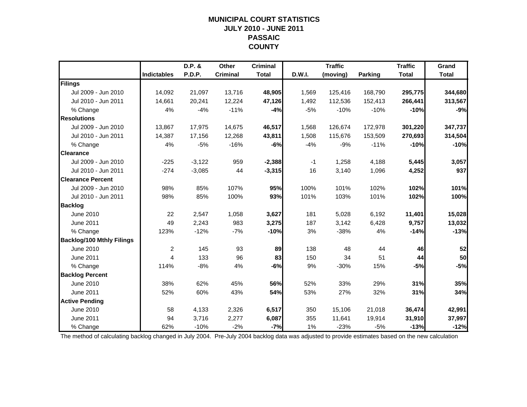### **MUNICIPAL COURT STATISTICSJULY 2010 - JUNE 2011 PASSAIC COUNTY**

|                                  |                    | D.P. &   | Other           | <b>Criminal</b> |        | <b>Traffic</b> |                | <b>Traffic</b> | Grand        |
|----------------------------------|--------------------|----------|-----------------|-----------------|--------|----------------|----------------|----------------|--------------|
|                                  | <b>Indictables</b> | P.D.P.   | <b>Criminal</b> | <b>Total</b>    | D.W.I. | (moving)       | <b>Parking</b> | <b>Total</b>   | <b>Total</b> |
| Filings                          |                    |          |                 |                 |        |                |                |                |              |
| Jul 2009 - Jun 2010              | 14,092             | 21,097   | 13,716          | 48,905          | 1,569  | 125,416        | 168,790        | 295,775        | 344,680      |
| Jul 2010 - Jun 2011              | 14,661             | 20,241   | 12,224          | 47,126          | 1,492  | 112,536        | 152,413        | 266,441        | 313,567      |
| % Change                         | 4%                 | $-4%$    | $-11%$          | $-4%$           | $-5%$  | $-10%$         | $-10%$         | $-10%$         | $-9%$        |
| <b>Resolutions</b>               |                    |          |                 |                 |        |                |                |                |              |
| Jul 2009 - Jun 2010              | 13,867             | 17,975   | 14,675          | 46,517          | 1,568  | 126,674        | 172,978        | 301,220        | 347,737      |
| Jul 2010 - Jun 2011              | 14,387             | 17,156   | 12,268          | 43,811          | 1,508  | 115,676        | 153,509        | 270,693        | 314,504      |
| % Change                         | 4%                 | $-5%$    | $-16%$          | $-6%$           | $-4%$  | $-9%$          | $-11%$         | $-10%$         | $-10%$       |
| <b>Clearance</b>                 |                    |          |                 |                 |        |                |                |                |              |
| Jul 2009 - Jun 2010              | $-225$             | $-3,122$ | 959             | $-2,388$        | $-1$   | 1,258          | 4,188          | 5,445          | 3,057        |
| Jul 2010 - Jun 2011              | $-274$             | $-3,085$ | 44              | $-3,315$        | 16     | 3,140          | 1,096          | 4,252          | 937          |
| <b>Clearance Percent</b>         |                    |          |                 |                 |        |                |                |                |              |
| Jul 2009 - Jun 2010              | 98%                | 85%      | 107%            | 95%             | 100%   | 101%           | 102%           | 102%           | 101%         |
| Jul 2010 - Jun 2011              | 98%                | 85%      | 100%            | 93%             | 101%   | 103%           | 101%           | 102%           | 100%         |
| <b>Backlog</b>                   |                    |          |                 |                 |        |                |                |                |              |
| June 2010                        | 22                 | 2,547    | 1,058           | 3,627           | 181    | 5,028          | 6,192          | 11,401         | 15,028       |
| June 2011                        | 49                 | 2,243    | 983             | 3,275           | 187    | 3,142          | 6,428          | 9,757          | 13,032       |
| % Change                         | 123%               | $-12%$   | $-7%$           | $-10%$          | 3%     | $-38%$         | 4%             | $-14%$         | $-13%$       |
| <b>Backlog/100 Mthly Filings</b> |                    |          |                 |                 |        |                |                |                |              |
| June 2010                        | $\overline{2}$     | 145      | 93              | 89              | 138    | 48             | 44             | 46             | 52           |
| June 2011                        | 4                  | 133      | 96              | 83              | 150    | 34             | 51             | 44             | 50           |
| % Change                         | 114%               | $-8%$    | 4%              | -6%             | 9%     | $-30%$         | 15%            | $-5%$          | $-5%$        |
| <b>Backlog Percent</b>           |                    |          |                 |                 |        |                |                |                |              |
| June 2010                        | 38%                | 62%      | 45%             | 56%             | 52%    | 33%            | 29%            | 31%            | 35%          |
| <b>June 2011</b>                 | 52%                | 60%      | 43%             | 54%             | 53%    | 27%            | 32%            | 31%            | 34%          |
| <b>Active Pending</b>            |                    |          |                 |                 |        |                |                |                |              |
| June 2010                        | 58                 | 4,133    | 2,326           | 6,517           | 350    | 15,106         | 21,018         | 36,474         | 42,991       |
| <b>June 2011</b>                 | 94                 | 3,716    | 2,277           | 6,087           | 355    | 11,641         | 19,914         | 31,910         | 37,997       |
| % Change                         | 62%                | $-10%$   | $-2%$           | $-7%$           | 1%     | $-23%$         | $-5%$          | $-13%$         | $-12%$       |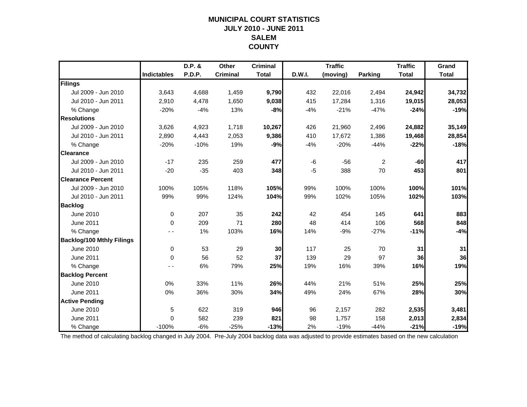### **MUNICIPAL COURT STATISTICSJULY 2010 - JUNE 2011 SALEMCOUNTY**

|                                  |                    | D.P. &        | Other           | <b>Criminal</b> |        | <b>Traffic</b> |                | <b>Traffic</b> | Grand        |
|----------------------------------|--------------------|---------------|-----------------|-----------------|--------|----------------|----------------|----------------|--------------|
|                                  | <b>Indictables</b> | <b>P.D.P.</b> | <b>Criminal</b> | <b>Total</b>    | D.W.I. | (moving)       | Parking        | <b>Total</b>   | <b>Total</b> |
| Filings                          |                    |               |                 |                 |        |                |                |                |              |
| Jul 2009 - Jun 2010              | 3,643              | 4,688         | 1,459           | 9,790           | 432    | 22,016         | 2,494          | 24,942         | 34,732       |
| Jul 2010 - Jun 2011              | 2,910              | 4,478         | 1,650           | 9,038           | 415    | 17,284         | 1,316          | 19,015         | 28,053       |
| % Change                         | $-20%$             | $-4%$         | 13%             | $-8%$           | $-4%$  | $-21%$         | $-47%$         | $-24%$         | $-19%$       |
| <b>Resolutions</b>               |                    |               |                 |                 |        |                |                |                |              |
| Jul 2009 - Jun 2010              | 3,626              | 4,923         | 1,718           | 10,267          | 426    | 21,960         | 2,496          | 24,882         | 35,149       |
| Jul 2010 - Jun 2011              | 2,890              | 4,443         | 2,053           | 9,386           | 410    | 17,672         | 1,386          | 19,468         | 28,854       |
| % Change                         | $-20%$             | $-10%$        | 19%             | $-9%$           | $-4%$  | $-20%$         | $-44%$         | $-22%$         | $-18%$       |
| <b>Clearance</b>                 |                    |               |                 |                 |        |                |                |                |              |
| Jul 2009 - Jun 2010              | $-17$              | 235           | 259             | 477             | -6     | $-56$          | $\overline{2}$ | $-60$          | 417          |
| Jul 2010 - Jun 2011              | $-20$              | $-35$         | 403             | 348             | $-5$   | 388            | 70             | 453            | 801          |
| <b>Clearance Percent</b>         |                    |               |                 |                 |        |                |                |                |              |
| Jul 2009 - Jun 2010              | 100%               | 105%          | 118%            | 105%            | 99%    | 100%           | 100%           | 100%           | 101%         |
| Jul 2010 - Jun 2011              | 99%                | 99%           | 124%            | 104%            | 99%    | 102%           | 105%           | 102%           | 103%         |
| <b>Backlog</b>                   |                    |               |                 |                 |        |                |                |                |              |
| June 2010                        | $\mathbf 0$        | 207           | 35              | 242             | 42     | 454            | 145            | 641            | 883          |
| <b>June 2011</b>                 | $\Omega$           | 209           | 71              | 280             | 48     | 414            | 106            | 568            | 848          |
| % Change                         |                    | 1%            | 103%            | 16%             | 14%    | $-9%$          | $-27%$         | $-11%$         | $-4%$        |
| <b>Backlog/100 Mthly Filings</b> |                    |               |                 |                 |        |                |                |                |              |
| June 2010                        | $\mathbf 0$        | 53            | 29              | 30              | 117    | 25             | 70             | 31             | 31           |
| <b>June 2011</b>                 | $\Omega$           | 56            | 52              | 37              | 139    | 29             | 97             | 36             | 36           |
| % Change                         |                    | 6%            | 79%             | 25%             | 19%    | 16%            | 39%            | 16%            | 19%          |
| <b>Backlog Percent</b>           |                    |               |                 |                 |        |                |                |                |              |
| June 2010                        | 0%                 | 33%           | 11%             | 26%             | 44%    | 21%            | 51%            | 25%            | 25%          |
| <b>June 2011</b>                 | 0%                 | 36%           | 30%             | 34%             | 49%    | 24%            | 67%            | 28%            | 30%          |
| <b>Active Pending</b>            |                    |               |                 |                 |        |                |                |                |              |
| <b>June 2010</b>                 | 5                  | 622           | 319             | 946             | 96     | 2,157          | 282            | 2,535          | 3,481        |
| <b>June 2011</b>                 | $\mathbf{0}$       | 582           | 239             | 821             | 98     | 1,757          | 158            | 2,013          | 2,834        |
| % Change                         | $-100%$            | $-6%$         | $-25%$          | $-13%$          | 2%     | $-19%$         | $-44%$         | $-21%$         | $-19%$       |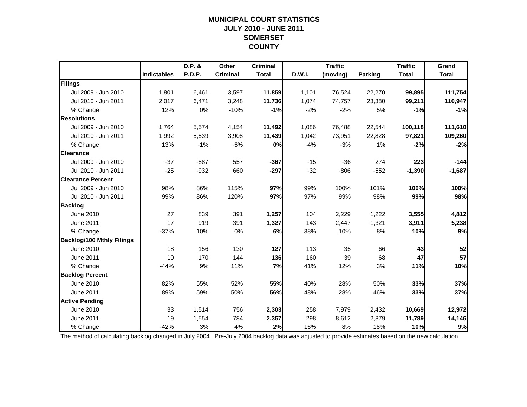### **MUNICIPAL COURT STATISTICSJULY 2010 - JUNE 2011 SOMERSET COUNTY**

|                                  |                    | D.P. &        | Other           | <b>Criminal</b> |        | <b>Traffic</b> |                | <b>Traffic</b> | Grand        |
|----------------------------------|--------------------|---------------|-----------------|-----------------|--------|----------------|----------------|----------------|--------------|
|                                  | <b>Indictables</b> | <b>P.D.P.</b> | <b>Criminal</b> | <b>Total</b>    | D.W.I. | (moving)       | <b>Parking</b> | <b>Total</b>   | <b>Total</b> |
| Filings                          |                    |               |                 |                 |        |                |                |                |              |
| Jul 2009 - Jun 2010              | 1,801              | 6,461         | 3,597           | 11,859          | 1,101  | 76,524         | 22,270         | 99,895         | 111,754      |
| Jul 2010 - Jun 2011              | 2,017              | 6,471         | 3,248           | 11,736          | 1,074  | 74,757         | 23,380         | 99,211         | 110,947      |
| % Change                         | 12%                | 0%            | $-10%$          | $-1%$           | $-2%$  | $-2%$          | 5%             | $-1%$          | $-1%$        |
| <b>Resolutions</b>               |                    |               |                 |                 |        |                |                |                |              |
| Jul 2009 - Jun 2010              | 1,764              | 5,574         | 4,154           | 11,492          | 1,086  | 76,488         | 22,544         | 100,118        | 111,610      |
| Jul 2010 - Jun 2011              | 1,992              | 5,539         | 3,908           | 11,439          | 1,042  | 73,951         | 22,828         | 97,821         | 109,260      |
| % Change                         | 13%                | $-1%$         | $-6%$           | 0%              | $-4%$  | $-3%$          | 1%             | $-2%$          | $-2%$        |
| <b>Clearance</b>                 |                    |               |                 |                 |        |                |                |                |              |
| Jul 2009 - Jun 2010              | $-37$              | $-887$        | 557             | $-367$          | $-15$  | $-36$          | 274            | 223            | $-144$       |
| Jul 2010 - Jun 2011              | $-25$              | $-932$        | 660             | $-297$          | $-32$  | $-806$         | $-552$         | $-1,390$       | $-1,687$     |
| <b>Clearance Percent</b>         |                    |               |                 |                 |        |                |                |                |              |
| Jul 2009 - Jun 2010              | 98%                | 86%           | 115%            | 97%             | 99%    | 100%           | 101%           | 100%           | 100%         |
| Jul 2010 - Jun 2011              | 99%                | 86%           | 120%            | 97%             | 97%    | 99%            | 98%            | 99%            | 98%          |
| <b>Backlog</b>                   |                    |               |                 |                 |        |                |                |                |              |
| June 2010                        | 27                 | 839           | 391             | 1,257           | 104    | 2,229          | 1,222          | 3,555          | 4,812        |
| June 2011                        | 17                 | 919           | 391             | 1,327           | 143    | 2,447          | 1,321          | 3,911          | 5,238        |
| % Change                         | $-37%$             | 10%           | 0%              | 6%              | 38%    | 10%            | 8%             | 10%            | 9%           |
| <b>Backlog/100 Mthly Filings</b> |                    |               |                 |                 |        |                |                |                |              |
| June 2010                        | 18                 | 156           | 130             | 127             | 113    | 35             | 66             | 43             | 52           |
| <b>June 2011</b>                 | 10                 | 170           | 144             | 136             | 160    | 39             | 68             | 47             | 57           |
| % Change                         | $-44%$             | 9%            | 11%             | 7%              | 41%    | 12%            | 3%             | 11%            | 10%          |
| <b>Backlog Percent</b>           |                    |               |                 |                 |        |                |                |                |              |
| June 2010                        | 82%                | 55%           | 52%             | 55%             | 40%    | 28%            | 50%            | 33%            | 37%          |
| <b>June 2011</b>                 | 89%                | 59%           | 50%             | 56%             | 48%    | 28%            | 46%            | 33%            | 37%          |
| <b>Active Pending</b>            |                    |               |                 |                 |        |                |                |                |              |
| June 2010                        | 33                 | 1,514         | 756             | 2,303           | 258    | 7,979          | 2,432          | 10,669         | 12,972       |
| <b>June 2011</b>                 | 19                 | 1,554         | 784             | 2,357           | 298    | 8,612          | 2,879          | 11,789         | 14,146       |
| % Change                         | $-42%$             | 3%            | 4%              | 2%              | 16%    | 8%             | 18%            | 10%            | 9%           |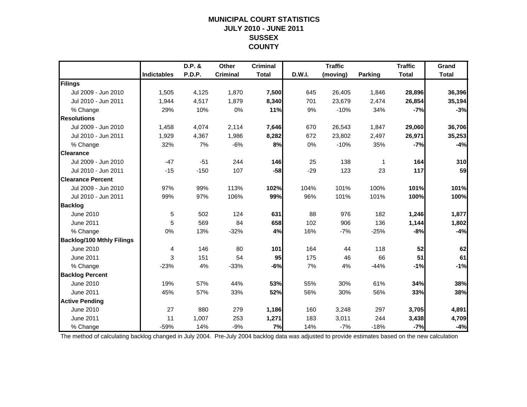### **MUNICIPAL COURT STATISTICSJULY 2010 - JUNE 2011 SUSSEX COUNTY**

|                                  |                    | D.P. & | Other           | <b>Criminal</b> |        | <b>Traffic</b> |                | <b>Traffic</b> | Grand        |
|----------------------------------|--------------------|--------|-----------------|-----------------|--------|----------------|----------------|----------------|--------------|
|                                  | <b>Indictables</b> | P.D.P. | <b>Criminal</b> | <b>Total</b>    | D.W.I. | (moving)       | <b>Parking</b> | <b>Total</b>   | <b>Total</b> |
| Filings                          |                    |        |                 |                 |        |                |                |                |              |
| Jul 2009 - Jun 2010              | 1,505              | 4,125  | 1,870           | 7,500           | 645    | 26,405         | 1,846          | 28,896         | 36,396       |
| Jul 2010 - Jun 2011              | 1,944              | 4,517  | 1,879           | 8,340           | 701    | 23,679         | 2,474          | 26,854         | 35,194       |
| % Change                         | 29%                | 10%    | 0%              | 11%             | 9%     | $-10%$         | 34%            | $-7%$          | $-3%$        |
| <b>Resolutions</b>               |                    |        |                 |                 |        |                |                |                |              |
| Jul 2009 - Jun 2010              | 1,458              | 4,074  | 2,114           | 7,646           | 670    | 26,543         | 1,847          | 29,060         | 36,706       |
| Jul 2010 - Jun 2011              | 1,929              | 4,367  | 1,986           | 8,282           | 672    | 23,802         | 2,497          | 26,971         | 35,253       |
| % Change                         | 32%                | 7%     | $-6%$           | 8%              | 0%     | $-10%$         | 35%            | $-7%$          | $-4%$        |
| <b>Clearance</b>                 |                    |        |                 |                 |        |                |                |                |              |
| Jul 2009 - Jun 2010              | $-47$              | $-51$  | 244             | <b>146</b>      | 25     | 138            | 1              | 164            | 310          |
| Jul 2010 - Jun 2011              | $-15$              | $-150$ | 107             | $-58$           | $-29$  | 123            | 23             | 117            | 59           |
| <b>Clearance Percent</b>         |                    |        |                 |                 |        |                |                |                |              |
| Jul 2009 - Jun 2010              | 97%                | 99%    | 113%            | 102%            | 104%   | 101%           | 100%           | 101%           | 101%         |
| Jul 2010 - Jun 2011              | 99%                | 97%    | 106%            | 99%             | 96%    | 101%           | 101%           | 100%           | 100%         |
| <b>Backlog</b>                   |                    |        |                 |                 |        |                |                |                |              |
| June 2010                        | 5                  | 502    | 124             | 631             | 88     | 976            | 182            | 1,246          | 1,877        |
| June 2011                        | 5                  | 569    | 84              | 658             | 102    | 906            | 136            | 1,144          | 1,802        |
| % Change                         | 0%                 | 13%    | $-32%$          | 4%              | 16%    | $-7%$          | $-25%$         | $-8%$          | $-4%$        |
| <b>Backlog/100 Mthly Filings</b> |                    |        |                 |                 |        |                |                |                |              |
| June 2010                        | 4                  | 146    | 80              | 101             | 164    | 44             | 118            | 52             | 62           |
| <b>June 2011</b>                 | 3                  | 151    | 54              | 95              | 175    | 46             | 66             | 51             | 61           |
| % Change                         | $-23%$             | 4%     | $-33%$          | -6%             | 7%     | 4%             | $-44%$         | $-1%$          | $-1%$        |
| <b>Backlog Percent</b>           |                    |        |                 |                 |        |                |                |                |              |
| June 2010                        | 19%                | 57%    | 44%             | 53%             | 55%    | 30%            | 61%            | 34%            | 38%          |
| <b>June 2011</b>                 | 45%                | 57%    | 33%             | 52%             | 56%    | 30%            | 56%            | 33%            | 38%          |
| <b>Active Pending</b>            |                    |        |                 |                 |        |                |                |                |              |
| June 2010                        | 27                 | 880    | 279             | 1,186           | 160    | 3,248          | 297            | 3,705          | 4,891        |
| <b>June 2011</b>                 | 11                 | 1,007  | 253             | 1,271           | 183    | 3,011          | 244            | 3,438          | 4,709        |
| % Change                         | $-59%$             | 14%    | $-9%$           | 7%              | 14%    | $-7%$          | $-18%$         | $-7%$          | $-4%$        |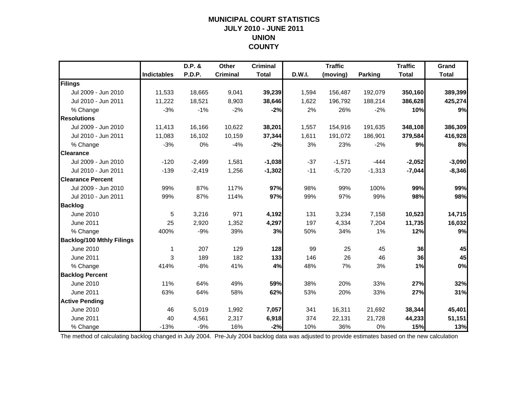### **MUNICIPAL COURT STATISTICSJULY 2010 - JUNE 2011 UNION COUNTY**

|                                  |                    | D.P. &   | Other           | <b>Criminal</b> |        | <b>Traffic</b> |                | <b>Traffic</b> | Grand        |
|----------------------------------|--------------------|----------|-----------------|-----------------|--------|----------------|----------------|----------------|--------------|
|                                  | <b>Indictables</b> | P.D.P.   | <b>Criminal</b> | <b>Total</b>    | D.W.I. | (moving)       | <b>Parking</b> | <b>Total</b>   | <b>Total</b> |
| Filings                          |                    |          |                 |                 |        |                |                |                |              |
| Jul 2009 - Jun 2010              | 11,533             | 18,665   | 9,041           | 39,239          | 1,594  | 156,487        | 192,079        | 350,160        | 389,399      |
| Jul 2010 - Jun 2011              | 11,222             | 18,521   | 8,903           | 38,646          | 1,622  | 196,792        | 188,214        | 386,628        | 425,274      |
| % Change                         | $-3%$              | $-1%$    | $-2%$           | $-2%$           | 2%     | 26%            | $-2%$          | 10%            | 9%           |
| <b>Resolutions</b>               |                    |          |                 |                 |        |                |                |                |              |
| Jul 2009 - Jun 2010              | 11,413             | 16,166   | 10,622          | 38,201          | 1,557  | 154,916        | 191,635        | 348,108        | 386,309      |
| Jul 2010 - Jun 2011              | 11,083             | 16,102   | 10,159          | 37,344          | 1,611  | 191,072        | 186,901        | 379,584        | 416,928      |
| % Change                         | $-3%$              | 0%       | $-4%$           | $-2%$           | 3%     | 23%            | $-2%$          | 9%             | 8%           |
| <b>Clearance</b>                 |                    |          |                 |                 |        |                |                |                |              |
| Jul 2009 - Jun 2010              | $-120$             | $-2,499$ | 1,581           | $-1,038$        | $-37$  | $-1,571$       | $-444$         | $-2,052$       | $-3,090$     |
| Jul 2010 - Jun 2011              | $-139$             | $-2,419$ | 1,256           | $-1,302$        | $-11$  | $-5,720$       | $-1,313$       | $-7,044$       | $-8,346$     |
| <b>Clearance Percent</b>         |                    |          |                 |                 |        |                |                |                |              |
| Jul 2009 - Jun 2010              | 99%                | 87%      | 117%            | 97%             | 98%    | 99%            | 100%           | 99%            | 99%          |
| Jul 2010 - Jun 2011              | 99%                | 87%      | 114%            | 97%             | 99%    | 97%            | 99%            | 98%            | 98%          |
| <b>Backlog</b>                   |                    |          |                 |                 |        |                |                |                |              |
| June 2010                        | 5                  | 3,216    | 971             | 4,192           | 131    | 3,234          | 7,158          | 10,523         | 14,715       |
| June 2011                        | 25                 | 2,920    | 1,352           | 4,297           | 197    | 4,334          | 7,204          | 11,735         | 16,032       |
| % Change                         | 400%               | $-9%$    | 39%             | 3%              | 50%    | 34%            | 1%             | 12%            | 9%           |
| <b>Backlog/100 Mthly Filings</b> |                    |          |                 |                 |        |                |                |                |              |
| June 2010                        | 1                  | 207      | 129             | 128             | 99     | 25             | 45             | 36             | 45           |
| <b>June 2011</b>                 | 3                  | 189      | 182             | 133             | 146    | 26             | 46             | 36             | 45           |
| % Change                         | 414%               | $-8%$    | 41%             | 4%              | 48%    | 7%             | 3%             | 1%             | 0%           |
| <b>Backlog Percent</b>           |                    |          |                 |                 |        |                |                |                |              |
| June 2010                        | 11%                | 64%      | 49%             | 59%             | 38%    | 20%            | 33%            | 27%            | 32%          |
| June 2011                        | 63%                | 64%      | 58%             | 62%             | 53%    | 20%            | 33%            | 27%            | 31%          |
| <b>Active Pending</b>            |                    |          |                 |                 |        |                |                |                |              |
| <b>June 2010</b>                 | 46                 | 5.019    | 1,992           | 7,057           | 341    | 16,311         | 21,692         | 38,344         | 45,401       |
| <b>June 2011</b>                 | 40                 | 4,561    | 2,317           | 6,918           | 374    | 22,131         | 21,728         | 44,233         | 51,151       |
| % Change                         | $-13%$             | $-9%$    | 16%             | $-2%$           | 10%    | 36%            | 0%             | 15%            | 13%          |